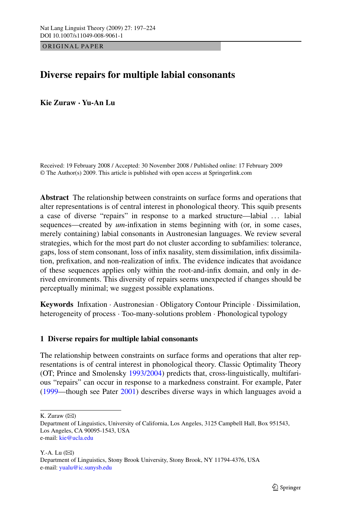ORIGINAL PAPER

# **Diverse repairs for multiple labial consonants**

**Kie Zuraw · Yu-An Lu**

Received: 19 February 2008 / Accepted: 30 November 2008 / Published online: 17 February 2009 © The Author(s) 2009. This article is published with open access at Springerlink.com

**Abstract** The relationship between constraints on surface forms and operations that alter representations is of central interest in phonological theory. This squib presents a case of diverse "repairs" in response to a marked structure—labial ... labial sequences—created by *um*-infixation in stems beginning with (or, in some cases, merely containing) labial consonants in Austronesian languages. We review several strategies, which for the most part do not cluster according to subfamilies: tolerance, gaps, loss of stem consonant, loss of infix nasality, stem dissimilation, infix dissimilation, prefixation, and non-realization of infix. The evidence indicates that avoidance of these sequences applies only within the root-and-infix domain, and only in derived environments. This diversity of repairs seems unexpected if changes should be perceptually minimal; we suggest possible explanations.

**Keywords** Infixation · Austronesian · Obligatory Contour Principle · Dissimilation, heterogeneity of process · Too-many-solutions problem · Phonological typology

### **1 Diverse repairs for multiple labial consonants**

The relationship between constraints on surface forms and operations that alter representations is of central interest in phonological theory. Classic Optimality Theory (OT; Prince and Smolensky [1993/2004\)](#page-26-0) predicts that, cross-linguistically, multifarious "repairs" can occur in response to a markedness constraint. For example, Pater [\(1999](#page-26-0)—though see Pater [2001](#page-26-0)) describes diverse ways in which languages avoid a

K. Zuraw  $(\boxtimes)$ 

Y.-A. Lu  $(\boxtimes)$ Department of Linguistics, Stony Brook University, Stony Brook, NY 11794-4376, USA e-mail: [yualu@ic.sunysb.edu](mailto:yualu@ic.sunysb.edu)

Department of Linguistics, University of California, Los Angeles, 3125 Campbell Hall, Box 951543, Los Angeles, CA 90095-1543, USA e-mail: [kie@ucla.edu](mailto:kie@ucla.edu)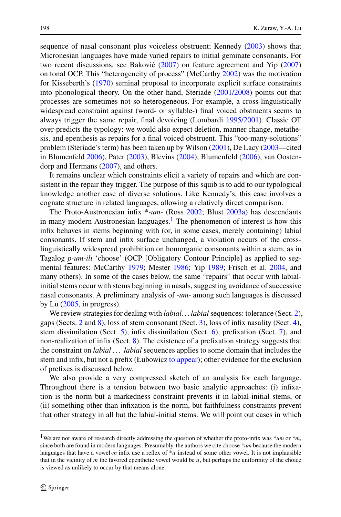sequence of nasal consonant plus voiceless obstruent; Kennedy [\(2003](#page-25-0)) shows that Micronesian languages have made varied repairs to initial geminate consonants. For two recent discussions, see Baković  $(2007)$  $(2007)$  $(2007)$  on feature agreement and Yip  $(2007)$  $(2007)$ on tonal OCP. This "heterogeneity of process" (McCarthy [2002\)](#page-25-0) was the motivation for Kisseberth's ([1970](#page-25-0)) seminal proposal to incorporate explicit surface constraints into phonological theory. On the other hand, Steriade [\(2001/2008\)](#page-26-0) points out that processes are sometimes not so heterogeneous. For example, a cross-linguistically widespread constraint against (word- or syllable-) final voiced obstruents seems to always trigger the same repair, final devoicing (Lombardi [1995/2001\)](#page-25-0). Classic OT over-predicts the typology: we would also expect deletion, manner change, metathesis, and epenthesis as repairs for a final voiced obstruent. This "too-many-solutions" problem (Steriade's term) has been taken up by Wilson ([2001\)](#page-27-0), De Lacy [\(2003](#page-24-0)—cited in Blumenfeld [2006\)](#page-24-0), Pater [\(2003](#page-26-0)), Blevins ([2004\)](#page-24-0), Blumenfeld ([2006\)](#page-24-0), van Oostendorp and Hermans [\(2007](#page-26-0)), and others.

It remains unclear which constraints elicit a variety of repairs and which are consistent in the repair they trigger. The purpose of this squib is to add to our typological knowledge another case of diverse solutions. Like Kennedy's, this case involves a cognate structure in related languages, allowing a relatively direct comparison.

The Proto-Austronesian infix \**-um-* (Ross [2002](#page-26-0); Blust [2003a](#page-24-0)) has descendants in many modern Austronesian languages.<sup>1</sup> The phenomenon of interest is how this infix behaves in stems beginning with (or, in some cases, merely containing) labial consonants. If stem and infix surface unchanged, a violation occurs of the crosslinguistically widespread prohibition on homorganic consonants within a stem, as in Tagalog *p-um-ili* 'choose' (OCP [Obligatory Contour Principle] as applied to segmental features: McCarthy [1979](#page-25-0); Mester [1986](#page-26-0); Yip [1989;](#page-27-0) Frisch et al. [2004,](#page-24-0) and many others). In some of the cases below, the same "repairs" that occur with labialinitial stems occur with stems beginning in nasals, suggesting avoidance of successive nasal consonants. A preliminary analysis of *-um-* among such languages is discussed by Lu  $(2005, \text{in progress})$  $(2005, \text{in progress})$ .

We review strategies for dealing with *labial... labial* sequences: tolerance (Sect. [2\)](#page-2-0), gaps (Sects. [2](#page-2-0) and [8\)](#page-18-0), loss of stem consonant (Sect. [3\)](#page-3-0), loss of infix nasality (Sect. [4\)](#page-10-0), stem dissimilation (Sect. [5](#page-12-0)), infix dissimilation (Sect. [6\)](#page-13-0), prefixation (Sect. [7\)](#page-15-0), and non-realization of infix (Sect. [8\)](#page-18-0). The existence of a prefixation strategy suggests that the constraint on *labial . . . labial* sequences applies to some domain that includes the stem and infix, but not a prefix (Łubowicz [to appear\)](#page-25-0); other evidence for the exclusion of prefixes is discussed below.

We also provide a very compressed sketch of an analysis for each language. Throughout there is a tension between two basic analytic approaches: (i) infixation is the norm but a markedness constraint prevents it in labial-initial stems, or (ii) something other than infixation is the norm, but faithfulness constraints prevent that other strategy in all but the labial-initial stems. We will point out cases in which

<sup>1</sup>We are not aware of research directly addressing the question of whether the proto-infix was *\*um* or *\*m*, since both are found in modern languages. Presumably, the authors we cite choose *\*um* because the modern languages that have a vowel*-m* infix use a reflex of \**u* instead of some other vowel. It is not implausible that in the vicinity of  $m$  the favored epenthetic vowel would be  $u$ , but perhaps the uniformity of the choice is viewed as unlikely to occur by that means alone.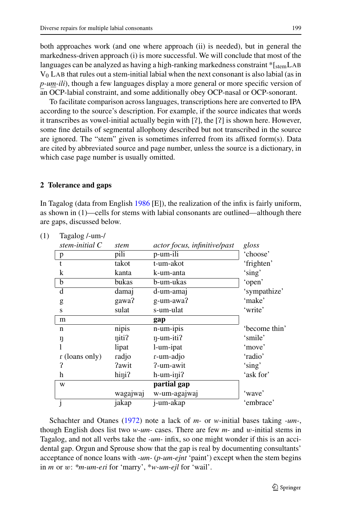<span id="page-2-0"></span>both approaches work (and one where approach (ii) is needed), but in general the markedness-driven approach (i) is more successful. We will conclude that most of the languages can be analyzed as having a high-ranking markedness constraint \*[stemLAB  $V_0$  LAB that rules out a stem-initial labial when the next consonant is also labial (as in *p-um-ili*), though a few languages display a more general or more specific version of an OCP-labial constraint, and some additionally obey OCP-nasal or OCP-sonorant.

To facilitate comparison across languages, transcriptions here are converted to IPA according to the source's description. For example, if the source indicates that words it transcribes as vowel-initial actually begin with  $[?]$ , the  $[?]$  is shown here. However, some fine details of segmental allophony described but not transcribed in the source are ignored. The "stem" given is sometimes inferred from its affixed form(s). Data are cited by abbreviated source and page number, unless the source is a dictionary, in which case page number is usually omitted.

### **2 Tolerance and gaps**

In Tagalog (data from English [1986](#page-24-0) [E]), the realization of the infix is fairly uniform, as shown in (1)—cells for stems with labial consonants are outlined—although there are gaps, discussed below.

| stem-initial $C$ | stem     | actor focus, infinitive/past | gloss         |
|------------------|----------|------------------------------|---------------|
| $\mathbf{p}$     | pili     | p-um-ili                     | 'choose'      |
| t                | takot    | t-um-akot                    | 'frighten'    |
| k                | kanta    | k-um-anta                    | 'sing'        |
| $\mathbf b$      | bukas    | b-um-ukas                    | 'open'        |
| d                | damaj    | d-um-amaj                    | 'sympathize'  |
| g                | gawa?    | g-um-awa?                    | 'make'        |
| S                | sulat    | s-um-ulat                    | 'write'       |
| m                |          | gap                          |               |
| n                | nipis    | n-um-ipis                    | 'become thin' |
| ŋ                | niti?    | $\eta$ -um-iti?              | 'smile'       |
|                  | lipat    | l-um-ipat                    | 'move'        |
| r (loans only)   | radjo    | r-um-adjo                    | 'radio'       |
| 2                | ?awit    | ?-um-awit                    | 'sing'        |
| h                | hini?    | $h$ -um-ini?                 | 'ask for'     |
| W                |          | partial gap                  |               |
|                  | wagajwaj | w-um-agajwaj                 | 'wave'        |
|                  | jakap    | j-um-akap                    | 'embrace'     |

| (1) | Tagalog /-um-/ |
|-----|----------------|
|     |                |

Schachter and Otanes [\(1972](#page-26-0)) note a lack of *m-* or *w-*initial bases taking *-um-*, though English does list two *w-um-* cases. There are few *m-* and *w*-initial stems in Tagalog, and not all verbs take the *-um-* infix, so one might wonder if this is an accidental gap. Orgun and Sprouse show that the gap is real by documenting consultants' acceptance of nonce loans with *-um-* (*p-um-ejnt* 'paint') except when the stem begins in *m* or *w*: *\*m-um-e*-*i* for 'marry', \**w-um-ejl* for 'wail'.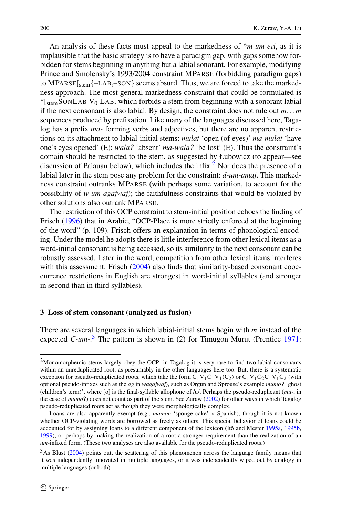<span id="page-3-0"></span>An analysis of these facts must appeal to the markedness of  $**m*-*um*-*eri*$ , as it is implausible that the basic strategy is to have a paradigm gap, with gaps somehow forbidden for stems beginning in anything but a labial sonorant. For example, modifying Prince and Smolensky's 1993/2004 constraint MPARSE (forbidding paradigm gaps) to MPARSE[stem{–LAB,–SON} seems absurd. Thus, we are forced to take the markedness approach. The most general markedness constraint that could be formulated is  $*$ [stemSONLAB V<sub>0</sub> LAB, which forbids a stem from beginning with a sonorant labial if the next consonant is also labial. By design, the constraint does not rule out *m. . . m* sequences produced by prefixation. Like many of the languages discussed here, Tagalog has a prefix *ma-* forming verbs and adjectives, but there are no apparent restrictions on its attachment to labial-initial stems: *mulat* 'open (of eyes)' *ma-mulat* 'have one's eyes opened' (E); *wala?* 'absent' *ma-wala?* 'be lost' (E). Thus the constraint's domain should be restricted to the stem, as suggested by Łubowicz (to appear—see discussion of Palauan below), which includes the infix.<sup>2</sup> Nor does the presence of a labial later in the stem pose any problem for the constraint: *d-um-amaj*. This markedness constraint outranks MPARSE (with perhaps some variation, to account for the possibility of *w-um-agajwaj*); the faithfulness constraints that would be violated by other solutions also outrank MPARSE.

The restriction of this OCP constraint to stem-initial position echoes the finding of Frisch ([1996\)](#page-24-0) that in Arabic, "OCP-Place is more strictly enforced at the beginning of the word" (p. 109). Frisch offers an explanation in terms of phonological encoding. Under the model he adopts there is little interference from other lexical items as a word-initial consonant is being accessed, so its similarity to the next consonant can be robustly assessed. Later in the word, competition from other lexical items interferes with this assessment. Frisch ([2004\)](#page-24-0) also finds that similarity-based consonant cooccurrence restrictions in English are strongest in word-initial syllables (and stronger in second than in third syllables).

#### **3 Loss of stem consonant (analyzed as fusion)**

There are several languages in which labial-initial stems begin with *m* instead of the expected *C-um-*. <sup>3</sup> The pattern is shown in (2) for Timugon Murut (Prentice [1971:](#page-26-0)

<sup>&</sup>lt;sup>2</sup>Monomorphemic stems largely obey the OCP: in Tagalog it is very rare to find two labial consonants within an unreduplicated root, as presumably in the other languages here too. But, there is a systematic exception for pseudo-reduplicated roots, which take the form  $C_1V_1C_1V_1(C_2)$  or  $C_1V_1C_2C_1V_1C_2$  (with optional pseudo-infixes such as the *ag* in *wagajwaj*), such as Orgun and Sprouse's example *mumo* 'ghost (children's term)', where [o] is the final-syllable allophone of /u/. Perhaps the pseudo-reduplicant (*mu-*, in the case of *mumo*-) does not count as part of the stem. See Zuraw [\(2002](#page-27-0)) for other ways in which Tagalog pseudo-reduplicated roots act as though they were morphologically complex.

Loans are also apparently exempt (e.g., *mamon* 'sponge cake' *<* Spanish), though it is not known whether OCP-violating words are borrowed as freely as others. This special behavior of loans could be accounted for by assigning loans to a different component of the lexicon (Itô and Mester [1995a](#page-25-0), [1995b,](#page-25-0) [1999\)](#page-25-0), or perhaps by making the realization of a root a stronger requirement than the realization of an *um-*infixed form. (These two analyses are also available for the pseudo-reduplicated roots.)

<sup>&</sup>lt;sup>3</sup>As Blust ([2004\)](#page-24-0) points out, the scattering of this phenomenon across the language family means that it was independently innovated in multiple languages, or it was independently wiped out by analogy in multiple languages (or both).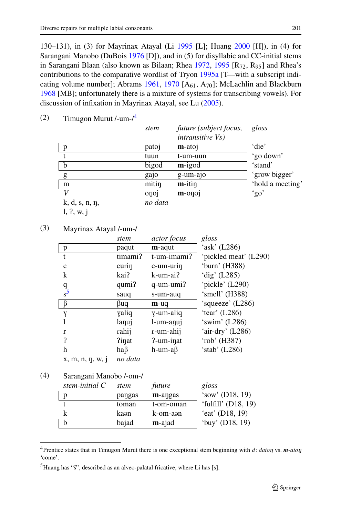130–131), in (3) for Mayrinax Atayal (Li [1995](#page-25-0) [L]; Huang [2000](#page-25-0) [H]), in (4) for Sarangani Manobo (DuBois [1976](#page-24-0) [D]), and in (5) for disyllabic and CC-initial stems in Sarangani Blaan (also known as Bilaan; Rhea [1972,](#page-26-0) [1995](#page-26-0)  $[R_{72}, R_{95}]$  and Rhea's contributions to the comparative wordlist of Tryon [1995a](#page-26-0) [T—with a subscript indi-cating volume number]; Abrams [1961,](#page-24-0) [1970](#page-24-0)  $[A_{61}, A_{70}]$ ; McLachlin and Blackburn [1968](#page-26-0) [MB]; unfortunately there is a mixture of systems for transcribing vowels). For discussion of infixation in Mayrinax Atayal, see Lu [\(2005](#page-25-0)).

|                     | stem    | future (subject focus,<br><i>intransitive Vs)</i> | gloss            |
|---------------------|---------|---------------------------------------------------|------------------|
| p                   | patoj   | $m$ -atoj                                         | 'die'            |
|                     | tuun    | t-um-uun                                          | 'go down'        |
| b                   | bigod   | $m$ -igod                                         | 'stand'          |
| g                   | gajo    | g-um-ajo                                          | 'grow bigger'    |
| m                   | mitin   | $m$ -itin                                         | 'hold a meeting' |
|                     | onoj    | $m$ -onoj                                         | 'go'             |
| $k, d, s, n, \eta,$ | no data |                                                   |                  |
| 1, 2, w, i          |         |                                                   |                  |

 $(2)$  Timugon Murut /-um- $/4$ 

# (3) Mayrinax Atayal /-um-/

|                 | stem         | <i>actor focus</i> | gloss                 |
|-----------------|--------------|--------------------|-----------------------|
| $\mathbf{p}$    | paqut        | m-aqut             | 'ask' $(L286)$        |
| t               | timami?      | t-um-imami?        | 'pickled meat' (L290) |
| $\mathbf{C}$    | curin        | c-um-urin          | 'burn' (H388)         |
| k               | kai?         | k-um-ai?           | 'dig' $(L285)$        |
|                 | qumi?        | q-um-umi?          | 'pickle' (L290)       |
| $\frac{q}{s^5}$ | sauq         | s-um-auq           | 'smell' (H388)        |
|                 |              |                    |                       |
| $\beta$         | βuq          | m-uq               | 'squeeze' (L286)      |
| Y               | yaliq        | y-um-aliq          | 'tear' $(L286)$       |
|                 | lanuj        | l-um-anuj          | 'swim' (L286)         |
| r               | rahij        | r-um-ahij          | 'air-dry' (L286)      |
| ?               | <i>Pinat</i> | ?-um-inat          | 'rob' (H387)          |
| h               | haβ          | h-um-aβ            | 'stab' $(L286)$       |

### (4) Sarangani Manobo /-om-/

| stem-initial $C$ | stem   | future    | gloss               |
|------------------|--------|-----------|---------------------|
|                  | pangas | m-angas   | 'sow' $(D18, 19)$   |
|                  | toman  | t-om-oman | 'fulfill' (D18, 19) |
|                  | kaən   | k-om-aən  | 'eat' $(D18, 19)$   |
|                  | bajad  | m-ajad    | 'buy' $(D18, 19)$   |

<sup>&</sup>lt;sup>4</sup> Prentice states that in Timugon Murut there is one exceptional stem beginning with *d*: *daton* vs. *m-aton* 'come'.

 $<sup>5</sup>Huang has "š", described as an alveo-palatal fricative, where Li has [s].$ </sup>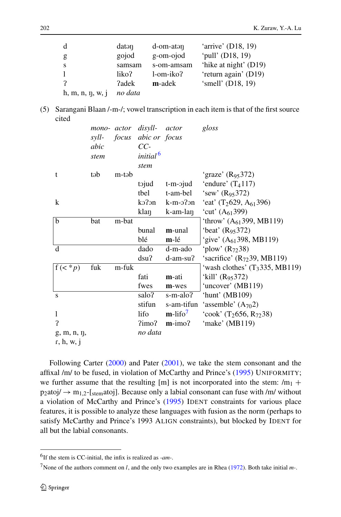| d                     | datan   | $d$ -om-atan | 'arrive' (D18, 19)    |
|-----------------------|---------|--------------|-----------------------|
| g                     | gojod   | g-om-ojod    | 'pull' (D18, 19)      |
| <sub>S</sub>          | samsam  | s-om-amsam   | 'hike at night' (D19) |
| $\mathbf{1}$          | liko?   | 1-om-iko?    | 'return again' (D19)  |
|                       | ?adek   | m-adek       | 'smell' (D18, 19)     |
| $h, m, n, \eta, w, j$ | no data |              |                       |

(5) Sarangani Blaan /-m-/; vowel transcription in each item is that of the first source cited

|                | syll- | mono- actor disyll- | focus abic or focus  | actor                  | gloss                                |
|----------------|-------|---------------------|----------------------|------------------------|--------------------------------------|
|                | abic  |                     | $CC-$                |                        |                                      |
|                | stem  |                     | initial <sup>6</sup> |                        |                                      |
|                |       |                     | stem                 |                        |                                      |
| t              | təb   | m-təb               |                      |                        | 'graze' ( $R_{95}372$ )              |
|                |       |                     | tojud                | t-m-ojud               | 'endure' $(T_4117)$                  |
|                |       |                     | tbel                 | t-am-bel               | 'sew' $(R_{95}372)$                  |
| $\bf k$        |       |                     | k <sub>2</sub>       |                        | k-m-o?on 'eat' $(T_2629, A_{61}396)$ |
|                |       |                     | klaŋ                 | k-am-lan               | 'cut' $(A61399)$                     |
| $\overline{b}$ | bat   | m-bat               |                      |                        | 'throw' $(A_{61}399, MB119)$         |
|                |       |                     | bunal                | m-unal                 | 'beat' $(R_{95}372)$                 |
|                |       |                     | blé                  | m-lé                   | 'give' $(A61398, MB119)$             |
| d              |       |                     | dado                 | d-m-ado                | 'plow' $(R_{72}38)$                  |
|                |       |                     | dsu?                 | d-am-su?               | 'sacrifice' $(R_{72}39, MB119)$      |
| $f(\lt^* p)$   | fuk   | m-fuk               |                      |                        | 'wash clothes' $(T_3335, MB119)$     |
|                |       |                     | fati                 | m-ati                  | 'kill' $(R_{95}372)$                 |
|                |       |                     | fwes                 | m-wes                  | 'uncover' (MB119)                    |
| S              |       |                     | salo?                | s-m-alo?               | 'hunt' (MB109)                       |
|                |       |                     | stifun               | s-am-tifun             | 'assemble' $(A_{70}2)$               |
| 1              |       |                     | lifo                 | $m$ -lifo <sup>7</sup> | 'cook' $(T_2656, R_{72}38)$          |
| $\mathbf{P}$   |       |                     | 2 <sub>imo</sub>     | $m$ -imo?              | 'make' (MB119)                       |
| g, m, n, n,    |       |                     | no data              |                        |                                      |
| r, h, w, i     |       |                     |                      |                        |                                      |

Following Carter ([2000\)](#page-24-0) and Pater ([2001\)](#page-26-0), we take the stem consonant and the affixal /m/ to be fused, in violation of McCarthy and Prince's [\(1995](#page-25-0)) UNIFORMITY; we further assume that the resulting [m] is not incorporated into the stem:  $/m_1 +$  $p_2$ atoj/  $\rightarrow$  m<sub>1,2</sub>-[<sub>stem</sub>atoj]. Because only a labial consonant can fuse with /m/ without a violation of McCarthy and Prince's ([1995\)](#page-25-0) IDENT constraints for various place features, it is possible to analyze these languages with fusion as the norm (perhaps to satisfy McCarthy and Prince's 1993 ALIGN constraints), but blocked by IDENT for all but the labial consonants.

<sup>6</sup>If the stem is CC-initial, the infix is realized as *-am-*.

<sup>7</sup>None of the authors comment on *l*, and the only two examples are in Rhea [\(1972](#page-26-0)). Both take initial *m-*.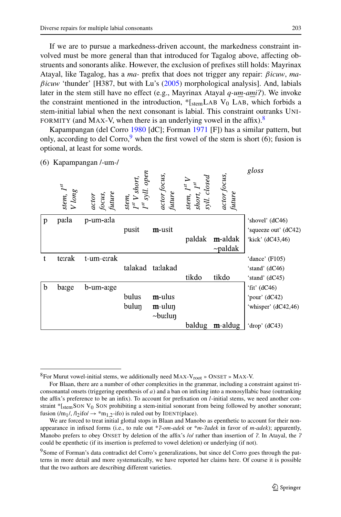If we are to pursue a markedness-driven account, the markedness constraint involved must be more general than that introduced for Tagalog above, affecting obstruents and sonorants alike. However, the exclusion of prefixes still holds: Mayrinax Atayal, like Tagalog, has a *ma-* prefix that does not trigger any repair: *βicuw*, *maβicuw* 'thunder' [H387, but with Lu's ([2005](#page-25-0)) morphological analysis]. And, labials later in the stem still have no effect (e.g., Mayrinax Atayal *q-um-ami*). We invoke the constraint mentioned in the introduction,  $*$ [stemLAB V<sub>0</sub> LAB, which forbids a stem-initial labial when the next consonant is labial. This constraint outranks UNI-FORMITY (and MAX-V, when there is an underlying vowel in the affix).<sup>8</sup>

Kapampangan (del Corro [1980](#page-24-0) [dC]; Forman [1971](#page-24-0) [F]) has a similar pattern, but only, according to del Corro,<sup>9</sup> when the first vowel of the stem is short (6); fusion is optional, at least for some words.

| (6) |                          | Kapampangan /-um-/        |                                                                 |                        |                                                                                                             |                        |                      |
|-----|--------------------------|---------------------------|-----------------------------------------------------------------|------------------------|-------------------------------------------------------------------------------------------------------------|------------------------|----------------------|
|     | stem, $I^{st}$<br>V long | actor<br>focus,<br>future | stem,<br>I <sup>st</sup> V short,<br>I <sup>st</sup> syll. open | actor focus,<br>future | $\begin{array}{l} {\rm stem,\ }I^{\rm st}\,V\\ {\rm short,\ }I^{\rm st}\\ {\rm syll.\ } closed \end{array}$ | actor focus,<br>future | gloss                |
| p   | pa:la                    | p-um-a:la                 |                                                                 |                        |                                                                                                             |                        | 'shovel' (dC46)      |
|     |                          |                           | pusit                                                           | m-usit                 |                                                                                                             |                        | 'squeeze out' (dC42) |
|     |                          |                           |                                                                 |                        | paldak                                                                                                      | m-aldak                | 'kick' (dC43,46)     |
|     |                          |                           |                                                                 |                        |                                                                                                             | $\sim$ paldak          |                      |
| t   | te:rak                   | t-um-errak                |                                                                 |                        |                                                                                                             |                        | 'dance' $(F105)$     |
|     |                          |                           | talakad                                                         | ta:lakad               |                                                                                                             |                        | 'stand' (dC46)       |
|     |                          |                           |                                                                 |                        | tikdo                                                                                                       | tikdo                  | 'stand' (dC45)       |
| b   | barge                    | b-um-arge                 |                                                                 |                        |                                                                                                             |                        | 'fit' $(dC46)$       |
|     |                          |                           | bulus                                                           | m-ulus                 |                                                                                                             |                        | 'pour' (dC42)        |
|     |                          |                           | bulun                                                           | m-ulun                 |                                                                                                             |                        | 'whisper' (dC42,46)  |
|     |                          |                           |                                                                 | $\sim$ bu:lun          |                                                                                                             |                        |                      |
|     |                          |                           |                                                                 |                        | baldug                                                                                                      | m-aldug                | 'drop' $(dC43)$      |

 ${}^{8}$ For Murut vowel-initial stems, we additionally need MAX-V<sub>root</sub> » ONSET » MAX-V.

For Blaan, there are a number of other complexities in the grammar, including a constraint against triconsonantal onsets (triggering epenthesis of *a*) and a ban on infixing into a monosyllabic base (outranking the affix's preference to be an infix). To account for prefixation on *l*-initial stems, we need another constraint  $*$ [stemSON V<sub>0</sub> SON prohibiting a stem-initial sonorant from being followed by another sonorant; fusion  $(m_1/$ ,  $/l_2$ ifo $/ \rightarrow$ \*m<sub>1,2</sub>-ifo) is ruled out by IDENT(place).

We are forced to treat initial glottal stops in Blaan and Manobo as epenthetic to account for their nonappearance in infixed forms (i.e., to rule out \**?-om-adek* or \**m-?adek* in favor of *m-adek*); apparently, Manobo prefers to obey ONSET by deletion of the affix's /o/ rather than insertion of ?. In Atayal, the ? could be epenthetic (if its insertion is preferred to vowel deletion) or underlying (if not).

<sup>&</sup>lt;sup>9</sup>Some of Forman's data contradict del Corro's generalizations, but since del Corro goes through the patterns in more detail and more systematically, we have reported her claims here. Of course it is possible that the two authors are describing different varieties.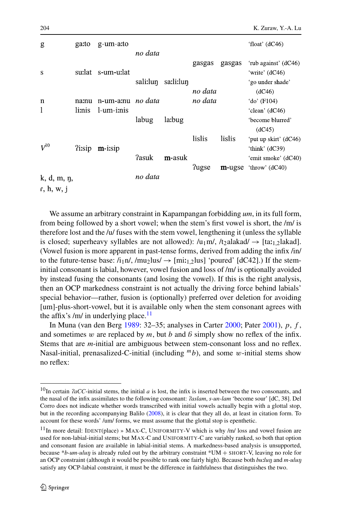| g                         | ga:to               | g-um-a:to  |          |           |              |        | 'float' $(dC46)$           |
|---------------------------|---------------------|------------|----------|-----------|--------------|--------|----------------------------|
|                           |                     |            | no data  |           | gasgas       | gasgas | 'rub against' (dC46)       |
| S                         | su:lat-             | s-um-u:lat |          |           |              |        | 'write' (dC46)             |
|                           |                     |            | sali:lun | sa:li:lun |              |        | 'go under shade'           |
|                           |                     |            |          |           | no data      |        | (dC46)                     |
| $\mathbf n$               | na:nu               | n-um-amu   | no data  |           | no data      |        | 'do' (F104)                |
| 1                         | li:nis              | 1-um-i:nis |          |           |              |        | 'clean' (dC46)             |
|                           |                     |            | labug    | la:bug    |              |        | 'become blurred'<br>(dC45) |
|                           |                     |            |          |           | lislis       | lislis | 'put up skirt' (dC46)      |
| $V^{10}$                  | <i><u>lisip</u></i> | $m$ -i:sip |          |           |              |        | 'think' (dC39)             |
|                           |                     |            | ?asuk    | m-asuk    |              |        | 'emit smoke' (dC40)        |
|                           |                     |            |          |           | <b>Tugse</b> | m-ugse | 'throw' $(dC40)$           |
| k, d, m, n,<br>r, h, w, j |                     |            | no data  |           |              |        |                            |

We assume an arbitrary constraint in Kapampangan forbidding *um*, in its full form, from being followed by a short vowel; when the stem's first vowel is short, the /m/ is therefore lost and the /u/ fuses with the stem vowel, lengthening it (unless the syllable is closed; superheavy syllables are not allowed):  $/u_1m$ ,  $/t_2$ alakad $\rightarrow$  [ta: $t_1$ ]akad]. (Vowel fusion is more apparent in past-tense forms, derived from adding the infix /in/ to the future-tense base:  $\lambda_1$ n/, /mu<sub>2</sub>lus/  $\rightarrow$  [mi $\lambda_1$ <sub>2</sub>lus] 'poured' [dC42].) If the steminitial consonant is labial, however, vowel fusion and loss of /m/ is optionally avoided by instead fusing the consonants (and losing the vowel). If this is the right analysis, then an OCP markedness constraint is not actually the driving force behind labials' special behavior—rather, fusion is (optionally) preferred over deletion for avoiding [um]-plus-short-vowel, but it is available only when the stem consonant agrees with the affix's /m/ in underlying place. $11$ 

In Muna (van den Berg [1989:](#page-26-0) 32–35; analyses in Carter [2000](#page-24-0); Pater [2001\)](#page-26-0), *p*, *f* , and sometimes  $w$  are replaced by  $m$ , but  $b$  and  $\beta$  simply show no reflex of the infix. Stems that are *m*-initial are ambiguous between stem-consonant loss and no reflex. Nasal-initial, prenasalized-C-initial (including  ${}^m b$ ), and some *w*-initial stems show no reflex:

<sup>10</sup>In certain *aCC*-initial stems, the initial *a* is lost, the infix is inserted between the two consonants, and the nasal of the infix assimilates to the following consonant: *aslam*, *s-un-lam* 'become sour' [dC, 38]. Del Corro does not indicate whether words transcribed with initial vowels actually begin with a glottal stop, but in the recording accompanying Balilo [\(2008](#page-24-0)), it is clear that they all do, at least in citation form. To account for these words' /um/ forms, we must assume that the glottal stop is epenthetic.

<sup>11</sup>In more detail: IDENT(place) » MAX-C, UNIFORMITY-V which is why /m/ loss and vowel fusion are used for non-labial-initial stems; but MAX-C and UNIFORMITY-C are variably ranked, so both that option and consonant fusion are available in labial-initial stems. A markedness-based analysis is unsupported, because \**b-um-ulu* is already ruled out by the arbitrary constraint \*UM + SHORT-V, leaving no role for an OCP constraint (although it would be possible to rank one fairly high). Because both *bulluq* and *m-uluq* satisfy any OCP-labial constraint, it must be the difference in faithfulness that distinguishes the two.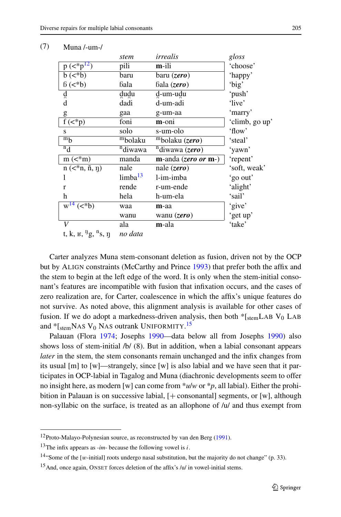|                                                    | stem                | irrealis                            | gloss          |
|----------------------------------------------------|---------------------|-------------------------------------|----------------|
| $p \left( \langle p_1   p_2   p_3 \rangle \right)$ | pili                | m-ili                               | 'choose'       |
| $b \left( \langle *b \rangle \right)$              | baru                | baru (zero)                         | 'happy'        |
| 6( <b>b</b> )                                      | bala                | bala (zero)                         | 'big'          |
| d<br>a                                             | dudu                | d-um-udu                            | 'push'         |
|                                                    | dadi                | d-um-adi                            | 'live'         |
| g                                                  | gaa                 | g-um-aa                             | 'marry'        |
| $f(\langle *p)$                                    | foni                | m-oni                               | 'climb, go up' |
| S                                                  | solo                | s-um-olo                            | 'flow'         |
| $m_b$                                              | mbolaku             | $\overline{\text{m}}$ bolaku (zero) | 'steal'        |
| $^n_d$                                             | <sup>n</sup> diwawa | $\sqrt[n]{\text{divawa}(zero)}$     | 'yawn'         |
| $m \left( \lt^* m \right)$                         | manda               | $m$ -anda ( <i>zero or</i> $m$ -)   | 'repent'       |
| $n \in \{1, n, n, n\}$                             | nale                | nale $(zero)$                       | 'soft, weak'   |
|                                                    | limba <sup>13</sup> | l-im-imba                           | 'go out'       |
| r                                                  | rende               | r-um-ende                           | 'alight'       |
| h                                                  | hela                | h-um-ela                            | 'sail'         |
| $w^{14}$ ( $\lt^* b$ )                             | waa                 | $m$ -aa                             | 'give'         |
|                                                    | wanu                | wanu (zero)                         | 'get up'       |
| V                                                  | ala                 | <b>m</b> -ala                       | 'take'         |
| t, k, $E$ , <sup>n</sup> g, <sup>n</sup> s, n      | no data             |                                     |                |

#### (7) Muna /-um-/

Carter analyzes Muna stem-consonant deletion as fusion, driven not by the OCP but by ALIGN constraints (McCarthy and Prince [1993](#page-25-0)) that prefer both the affix and the stem to begin at the left edge of the word. It is only when the stem-initial consonant's features are incompatible with fusion that infixation occurs, and the cases of zero realization are, for Carter, coalescence in which the affix's unique features do not survive. As noted above, this alignment analysis is available for other cases of fusion. If we do adopt a markedness-driven analysis, then both  $*$ [stemLAB V<sub>0</sub> LAB and \* [<sub>stem</sub>NAS V<sub>0</sub> NAS outrank UNIFORMITY.<sup>15</sup>

Palauan (Flora [1974](#page-24-0); Josephs [1990](#page-25-0)—data below all from Josephs [1990\)](#page-25-0) also shows loss of stem-initial /b/ (8). But in addition, when a labial consonant appears *later* in the stem, the stem consonants remain unchanged and the infix changes from its usual  $[m]$  to  $[w]$ —strangely, since  $[w]$  is also labial and we have seen that it participates in OCP-labial in Tagalog and Muna (diachronic developments seem to offer no insight here, as modern [w] can come from \**u*/*w* or \**p*, all labial). Either the prohibition in Palauan is on successive labial,  $[+$  consonantal] segments, or [w], although non-syllabic on the surface, is treated as an allophone of /u/ and thus exempt from

<sup>12</sup>Proto-Malayo-Polynesian source, as reconstructed by van den Berg [\(1991](#page-26-0)).

<sup>13</sup>The infix appears as *-im-* because the following vowel is *i*.

<sup>&</sup>lt;sup>14</sup>"Some of the [*w*-initial] roots undergo nasal substitution, but the majority do not change" (p. 33).

<sup>&</sup>lt;sup>15</sup>And, once again, ONSET forces deletion of the affix's  $/u$  in vowel-initial stems.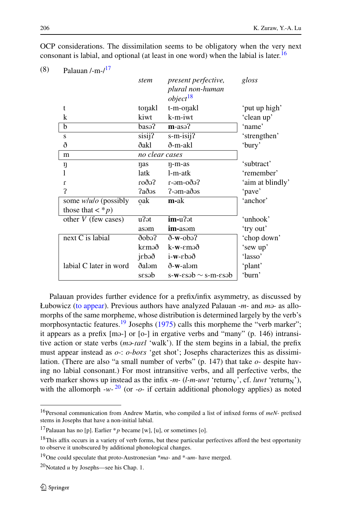|                        | stem                  | <i>present perfective,</i><br>plural non-human | gloss            |
|------------------------|-----------------------|------------------------------------------------|------------------|
|                        |                       | $object^{18}$                                  |                  |
| t                      | tonakl                | t-m-onakl                                      | 'put up high'    |
| k                      | kiwt                  | k-m-iwt                                        | 'clean up'       |
| b                      | $basa^{\overline{2}}$ | $m$ -asə?                                      | 'name'           |
| S                      | sisij?                | $s$ -m-isij?                                   | 'strengthen'     |
| ð                      | ðakl                  | ð-m-akl                                        | 'bury'           |
| m                      | no clear cases        |                                                |                  |
| ŋ                      | nas                   | n-m-as                                         | 'subtract'       |
|                        | latk                  | l-m-atk                                        | 'remember'       |
| $\mathbf{r}$           | Se6o1                 | r-əm-oðə?                                      | 'aim at blindly' |
| $\mathbf{P}$           | ?aðəs                 | $? -em-a$ ð $os$                               | 'pave'           |
| some $w/u/o$ (possibly | oak                   | m-ak                                           | 'anchor'         |
| those that $\lt^* p$   |                       |                                                |                  |
| other $V$ (few cases)  | $\overline{u}$ ?at    | im-u?ət                                        | 'unhook'         |
|                        | asam                  | <b>im-as</b>                                   | 'try out'        |
| next C is labial       | $\delta$ obə $\delta$ | $\delta$ -w-obə?                               | 'chop down'      |
|                        | kɛməð                 | $k-w$ - $\epsilon$ məð                         | 'sew up'         |
|                        | jebəð                 | $i-w$ - $\epsilon$ bəð                         | 'lasso'          |
| labial C later in word | ðaləm                 | ð-w-aləm                                       | 'plant'          |
|                        | sesab                 | s-w- $\epsilon$ səb $\sim$ s-m- $\epsilon$ səb | 'burn'           |

OCP considerations. The dissimilation seems to be obligatory when the very next consonant is labial, and optional (at least in one word) when the labial is later.<sup>16</sup>

Palauan provides further evidence for a prefix/infix asymmetry, as discussed by Łubowicz ([to appear](#page-25-0)). Previous authors have analyzed Palauan *-m-* and *m-* as allomorphs of the same morpheme, whose distribution is determined largely by the verb's morphosyntactic features.<sup>19</sup> Josephs [\(1975](#page-25-0)) calls this morpheme the "verb marker"; it appears as a prefix [m<sub>3</sub>-] or [o<sub>-</sub>] in ergative verbs and "many" (p. 146) intransitive action or state verbs (*m-*-*al* 'walk'). If the stem begins in a labial, the prefix must appear instead as *o-*: *o-bos* 'get shot'; Josephs characterizes this as dissimilation. (There are also "a small number of verbs" (p. 147) that take *o-* despite having no labial consonant.) For most intransitive verbs, and all perfective verbs, the verb marker shows up instead as the infix  $-m-(l-m-uvt$  'return<sub>V</sub>', cf. *luwt* 'return<sub>N</sub>'), with the allomorph  $-w-20$  (or  $-\infty$ - if certain additional phonology applies) as noted

 $(8)$  Palauan /-m- $/17$ 

<sup>16</sup>Personal communication from Andrew Martin, who compiled a list of infixed forms of *meN-* prefixed stems in Josephs that have a non-initial labial.

<sup>&</sup>lt;sup>17</sup>Palauan has no [p]. Earlier  $* p$  became [w], [u], or sometimes [o].

 $18$ This affix occurs in a variety of verb forms, but these particular perfectives afford the best opportunity to observe it unobscured by additional phonological changes.

<sup>19</sup>One could speculate that proto-Austronesian \**ma-* and \**-um-* have merged.

<sup>20</sup>Notated *u* by Josephs—see his Chap. 1.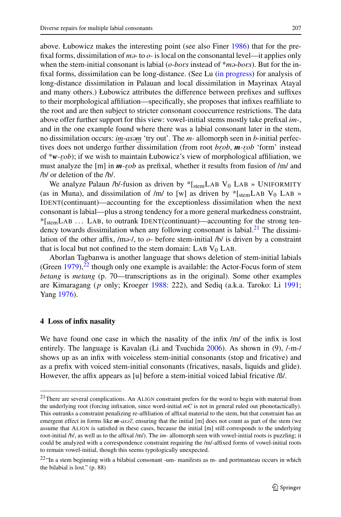<span id="page-10-0"></span>above. Łubowicz makes the interesting point (see also Finer [1986](#page-24-0)) that for the prefixal forms, dissimilation of *m*<sup>2</sup> to *o*- is local on the consonantal level—it applies only when the stem-initial consonant is labial (*o-bos* instead of \**m-bos*). But for the infixal forms, dissimilation can be long-distance. (See Lu ([in progress\)](#page-25-0) for analysis of long-distance dissimilation in Palauan and local dissimilation in Mayrinax Atayal and many others.) Łubowicz attributes the difference between prefixes and suffixes to their morphological affiliation—specifically, she proposes that infixes reaffiliate to the root and are then subject to stricter consonant cooccurrence restrictions. The data above offer further support for this view: vowel-initial stems mostly take prefixal *im-*, and in the one example found where there was a labial consonant later in the stem, no dissimilation occurs: *im-asm* 'try out'. The *m-* allomorph seen in *b*-initial perfectives does not undergo further dissimilation (from root *b*<sub>*gob*</sub>, *m*-*gob* 'form' instead of \**w- ob*); if we wish to maintain Łubowicz's view of morphological affiliation, we must analyze the [m] in  $m$ -*cob* as prefixal, whether it results from fusion of /m/ and ſ /b/ or deletion of the /b/.

We analyze Palaun /b/-fusion as driven by  $*$ [stemLAB V<sub>0</sub> LAB » UNIFORMITY (as in Muna), and dissimilation of /m/ to [w] as driven by  $*$ [stemLAB V<sub>0</sub> LAB » IDENT(continuant)—accounting for the exceptionless dissimilation when the next consonant is labial—plus a strong tendency for a more general markedness constraint, \*[stemLAB ... LAB, to outrank IDENT(continuant)—accounting for the strong tendency towards dissimilation when any following consonant is labial. $2<sup>1</sup>$  The dissimilation of the other affix,  $/m=1$ , to  $o$ - before stem-initial  $/b/$  is driven by a constraint that is local but not confined to the stem domain: LAB  $V_0$  LAB.

Aborlan Tagbanwa is another language that shows deletion of stem-initial labials (Green  $1979$ ),<sup>22</sup> though only one example is available: the Actor-Focus form of stem *betang* is *metang* (p. 70—transcriptions as in the original). Some other examples are Kimaragang (*p* only; Kroeger [1988:](#page-25-0) 222), and Sediq (a.k.a. Taroko: Li [1991;](#page-25-0) Yang [1976\)](#page-27-0).

#### **4 Loss of infix nasality**

We have found one case in which the nasality of the infix /m/ of the infix is lost entirely. The language is Kavalan (Li and Tsuchida [2006](#page-25-0)). As shown in (9), /-m-/ shows up as an infix with voiceless stem-initial consonants (stop and fricative) and as a prefix with voiced stem-initial consonants (fricatives, nasals, liquids and glide). However, the affix appears as [u] before a stem-initial voiced labial fricative /ß/.

<sup>&</sup>lt;sup>21</sup>There are several complications. An ALIGN constraint prefers for the word to begin with material from the underlying root (forcing infixation, since word-initial *mC* is not in general ruled out phonotactically). This outranks a constraint penalizing re-affiliation of affixal material to the stem, but that constraint has an emergent effect in forms like *m*-as<sup>2</sup>, ensuring that the initial [m] does not count as part of the stem (we assume that ALIGN is satisfied in these cases, because the initial [m] still corresponds to the underlying root-initial /b/, as well as to the affixal /m/). The *im-* allomorph seen with vowel-initial roots is puzzling; it could be analyzed with a correspondence constraint requiring the /m/-affixed forms of vowel-initial roots to remain vowel-initial, though this seems typologically unexpected.

<sup>22&</sup>quot;In a stem beginning with a bilabial consonant -um- manifests as m- and portmanteau occurs in which the bilabial is lost." (p. 88)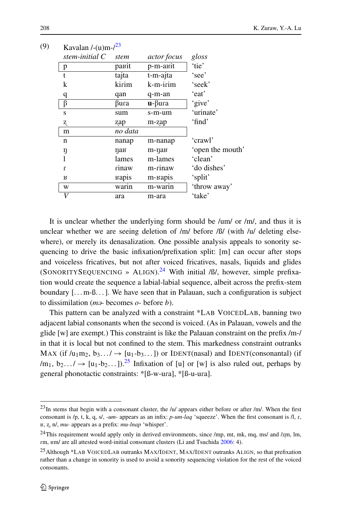| stem-initial $C$ | stem    | <i>actor focus</i>         | gloss            |
|------------------|---------|----------------------------|------------------|
| p                | равіt   | p-m-arit                   | 'tie'            |
| t                | tajta   | $\overline{t}$ -m-ajta     | 'see'            |
| k                | kirim   | k-m-irim                   | 'seek'           |
| q                | qan     | q-m-an                     | 'eat'            |
| β                | βura    | $\mathbf{u}$ - $\beta$ ura | 'give'           |
| S                | sum     | s-m-um                     | 'urinate'        |
| Z.               | zap     | m-zap                      | 'find'           |
| m                | no data |                            |                  |
| n                | nanap   | m-nanap                    | 'crawl'          |
| ŋ                | пав     | $m$ -na $\kappa$           | 'open the mouth' |
| 1                | lames   | m-lames                    | 'clean'          |
| $\mathbf{r}$     | rinaw   | m-rinaw                    | 'do dishes'      |
| R                | варіs   | m- <sub>Bapis</sub>        | 'split'          |
| W                | warin   | m-warin                    | 'throw away'     |
| V                | ara     | m-ara                      | 'take'           |
|                  |         |                            |                  |

It is unclear whether the underlying form should be /um/ or /m/, and thus it is unclear whether we are seeing deletion of /m/ before / $\beta$ / (with /u/ deleting elsewhere), or merely its denasalization. One possible analysis appeals to sonority sequencing to drive the basic infixation/prefixation split: [m] can occur after stops and voiceless fricatives, but not after voiced fricatives, nasals, liquids and glides (SONORITYSEQUENCING » ALIGN).<sup>24</sup> With initial / $\beta$ /, however, simple prefixation would create the sequence a labial-labial sequence, albeit across the prefix-stem boundary  $[\dots, m-1, \dots]$ . We have seen that in Palauan, such a configuration is subject to dissimilation (*m-* becomes *o-* before *b*).

This pattern can be analyzed with a constraint \*LAB VOICEDLAB, banning two adjacent labial consonants when the second is voiced. (As in Palauan, vowels and the glide  $[w]$  are exempt.) This constraint is like the Palauan constraint on the prefix /m-/ in that it is local but not confined to the stem. This markedness constraint outranks MAX (if  $/u_1m_2, b_3... \rightarrow [u_1-b_3...]$ ) or IDENT(nasal) and IDENT(consonantal) (if  $/m_1, b_2... \rightarrow [u_1-b_2...]$ .<sup>25</sup> Infixation of [u] or [w] is also ruled out, perhaps by general phonotactic constraints: \*[ß-w-ua], \*[ß-u-ua].

(9) Kavalan  $\frac{1 - (11)m}{2^3}$ 

 $^{23}$ In stems that begin with a consonant cluster, the /u/ appears either before or after /m/. When the first consonant is /p, t, k, q, s/, *-um-* appears as an infix:  $p$ *-um-laq* 'squeeze'. When the first consonant is /l, r, , , n/, *mu-* appears as a prefix: *mu-lnap* 'whisper'.

<sup>&</sup>lt;sup>24</sup>This requirement would apply only in derived environments, since /mp, mt, mk, mq, ms/ and /zm, lm, m, m/ are all attested word-initial consonant clusters (Li and Tsuchida [2006](#page-25-0): 4).

<sup>25</sup>Although \*LAB VOICEDLAB outranks MAX/IDENT, MAX/IDENT outranks ALIGN, so that prefixation rather than a change in sonority is used to avoid a sonority sequencing violation for the rest of the voiced consonants.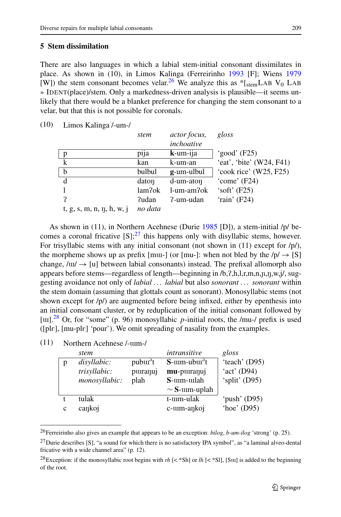## <span id="page-12-0"></span>**5 Stem dissimilation**

There are also languages in which a labial stem-initial consonant dissimilates in place. As shown in (10), in Limos Kalinga (Ferreirinho [1993](#page-24-0) [F]; Wiens [1979](#page-26-0) [W]) the stem consonant becomes velar.<sup>26</sup> We analyze this as  $*$ [stemLAB V<sub>0</sub> LAB] » IDENT(place)/stem. Only a markedness-driven analysis is plausible—it seems unlikely that there would be a blanket preference for changing the stem consonant to a velar, but that this is not possible for coronals.

(10) Limos Kalinga /-um-/

|                                | stem    | <i>actor focus,</i><br>inchoative | gloss                      |
|--------------------------------|---------|-----------------------------------|----------------------------|
| p                              | pija    | $k$ -um-ija                       | 'good' $(F25)$             |
| k                              | kan     | k-um-an                           | 'eat', 'bite' $(W24, F41)$ |
| b                              | bulbul  | g-um-ulbul                        | 'cook rice' (W25, F25)     |
| d                              | daton   | d-um-aton                         | 'come' (F24)               |
|                                | lam?ok  | 1-um-am?ok                        | 'soft' $(F25)$             |
| 2                              | Pudan   | ?-um-udan                         | 'rain' (F24)               |
| $t, g, s, m, n, \eta, h, w, i$ | no data |                                   |                            |

As shown in (11), in Northern Acehnese (Durie [1985](#page-24-0) [D]), a stem-initial /p/ becomes a coronal fricative  $[S]$ ;<sup>27</sup> this happens only with disyllabic stems, however. For trisyllabic stems with any initial consonant (not shown in (11) except for  $/p/$ ), the morpheme shows up as prefix [mu-] (or [mu-]: when not bled by the  $/p \rightarrow [S]$ change,  $\ell$ u $\ell$   $\rightarrow$  [u] between labial consonants) instead. The prefixal allomorph also appears before stems—regardless of length—beginning in /b,?,h,l,r,m,n,n,n,w,j/, suggesting avoidance not only of *labial . . . labial* but also *sonorant . . . sonorant* within the stem domain (assuming that glottals count as sonorant). Monosyllabic stems (not shown except for  $/p/$ ) are augmented before being infixed, either by epenthesis into an initial consonant cluster, or by reduplication of the initial consonant followed by [ $\mu$ ].<sup>28</sup> Or, for "some" (p. 96) monosyllabic *p*-initial roots, the /mu-/ prefix is used  $([ple], [mu-p] \epsilon]$  'pour'). We omit spreading of nasality from the examples.

|   | stem          |                      | intransitive                      | gloss         |
|---|---------------|----------------------|-----------------------------------|---------------|
|   | disyllabic:   | pubur <sup>3</sup> t | $S$ - $um$ - $ubu$ <sup>3</sup> t | 'teach' (D95) |
|   | trisyllabic:  | puranuj              | mu-puranuj                        | 'act' (D94)   |
|   | monosyllabic: | plah                 | S-um-ulah                         | 'split' (D95) |
|   |               |                      | $\sim$ S-um-uplah                 |               |
|   | tulak         |                      | t-um-ulak                         | 'push' (D95)  |
| c | cankoj        |                      | c-um-ankoj                        | 'hoe' $(D95)$ |

(11) Northern Acehnese /-m-/

<sup>26</sup>Ferreirinho also gives an example that appears to be an exception: *bilog*, *b-um-ilog* 'strong' (p. 25).

 $^{27}$ Durie describes [S], "a sound for which there is no satisfactory IPA symbol", as "a laminal alveo-dental fricative with a wide channel area" (p. 12).

<sup>&</sup>lt;sup>28</sup>Exception: if the monosyllabic root begins with *rh* [< \*Sh] or *lh* [< \*Sl], [Sur] is added to the beginning of the root.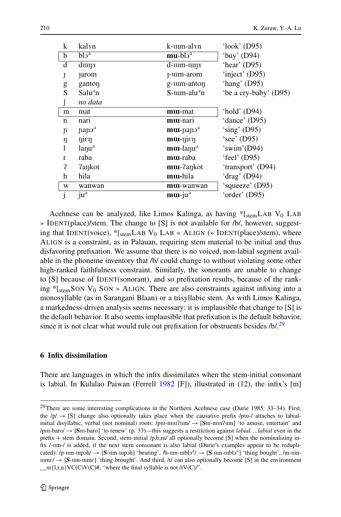<span id="page-13-0"></span>

| k                    | kalyn                                 | k-um-alyn                                     | 'look' $(D95)$        |
|----------------------|---------------------------------------|-----------------------------------------------|-----------------------|
| b                    | $b10^9$                               | $mu$ -bl $o3$                                 | 'buy' $(D94)$         |
| d                    | $d$ um $\gamma$                       | $d$ - $um$ - $um$ $\gamma$                    | 'hear' $(D95)$        |
| J                    | <b>Farom</b>                          | f-um-arom                                     | 'inject' (D95)        |
| g                    | ganton                                | g-tum-anton                                   | 'hang' $(D95)$        |
| S                    | Salu <sup>9</sup> n                   | $S$ - $um$ -alu <sup><math>a</math></sup> n   | 'be a cry-baby' (D95) |
|                      | no data                               |                                               |                       |
| m                    | mat                                   | mu-mat                                        | 'hold' $(D94)$        |
| n                    | nari                                  | mu-nari                                       | 'dance' (D95)         |
| $\mathbf{n}$         | nano <sup>3</sup>                     | $mu$ -papo <sup>9</sup>                       | 'sing' $(D95)$        |
| ŋ                    | $\eta$ i $\varepsilon$ n              | $mu$ - $\eta$ i $\varepsilon$ $\eta$          | 'see' (D95)           |
|                      | $l$ any $\mathfrak{u}^{\mathfrak{g}}$ | $mu$ -lanu <sup><math>\partial</math></sup>   | 'swim'(D94)           |
| r                    | raba                                  | <b>mu</b> -raba                               | 'feel' $(D95)$        |
| $\boldsymbol{\iota}$ | <b>?ankot</b>                         | mu-?ankot                                     | 'transport' (D94)     |
| h                    | hila                                  | mu-hila                                       | 'drag' (D94)          |
| W                    | wanwan                                | mu-wanwan                                     | 'squeeze' (D95)       |
| j                    | $ju^{\partial}$                       | $mu$ -ju <sup><math>\overline{ }</math></sup> | 'order' (D95)         |

Acehnese can be analyzed, like Limos Kalinga, as having  $\frac{1}{s}$ [stemLAB V<sub>0</sub> LAB] » IDENT(place)/stem. The change to [S] is not available for /b/, however, suggesting that IDENT(voice),  $*$ [stemLAB V<sub>0</sub> LAB » ALIGN (» IDENT(place)/stem), where ALIGN is a constraint, as in Palauan, requiring stem material to be initial and thus disfavoring prefixation. We assume that there is no voiced, non-labial segment available in the phoneme inventory that /b/ could change to without violating some other high-ranked faithfulness constraint. Similarly, the sonorants are unable to change to [S] because of IDENT(sonorant), and so prefixation results, because of the ranking  $*$ [stemSON V<sub>0</sub> SON » ALIGN. There are also constraints against infixing into a monosyllable (as in Sarangani Blaan) or a trisyllabic stem. As with Limos Kalinga, a markedness-driven analysis seems necessary: it is implausible that change to [S] is the default behavior. It also seems implausible that prefixation is the default behavior, since it is not clear what would rule out prefixation for obstruents besides  $/b/29$ 

#### **6 Infix dissimilation**

There are languages in which the infix dissimilates when the stem-initial consonant is labial. In Kulalao Paiwan (Ferrell [1982](#page-24-0) [F]), illustrated in  $(12)$ , the infix's [m]

<sup>&</sup>lt;sup>29</sup>There are some interesting complications in the Northern Acehnese case (Durie 1985: 33–34). First, the  $/p \rightarrow [S]$  change also optionally takes place when the causative prefix /p $\mu$ -/ attaches to labialinitial disyllabic, verbal (not nominal) roots:  $/pm-mu$ ? $um$   $\rightarrow$  [S $u$ -m $u$ ? $um$ ] 'to amuse, entertain' and /puu-baro/  $\rightarrow$  [Suu-baro] 'to renew' (p. 33)—this suggests a restriction against *labial*. . *labial* even in the prefix + stem domain. Second, stem-initial  $/p$ ,b,m/ all optionally become [S] when the nominalizing infix /-un-/ is added, if the next stem consonant is also labial (Durie's examples appear to be reduplicated): /p-um-upph/  $\rightarrow$  [S-um-upph] 'beating', /b-um-upblo<sup>2</sup>/  $\rightarrow$  [S-um-upblo<sup>2</sup>] 'thing bought', /m-um- $\text{tumer}/ \rightarrow [\text{S-un-umer}]$  'thing brought'. And third, /t/ can also optionally become [S] in the environment  $\text{tr}\{l,r,n\}VCC(V(C)\#)$ , "where the final syllable is not /tV(C)/".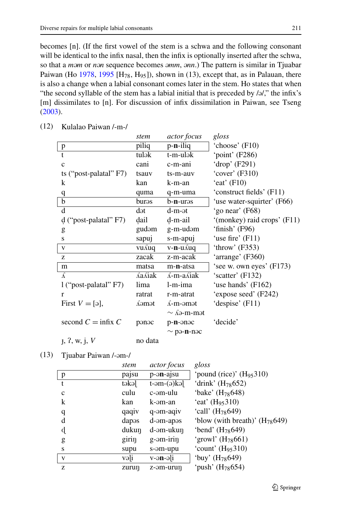becomes [n]. (If the first vowel of the stem is a schwa and the following consonant will be identical to the infix nasal, then the infix is optionally inserted after the schwa, so that a *mm* or *nn* sequence becomes *mm*, *nn*.) The pattern is similar in Tjuabar Paiwan (Ho [1978,](#page-25-0) [1995](#page-25-0) [H<sub>78</sub>, H<sub>95</sub>]), shown in (13), except that, as in Palauan, there is also a change when a labial consonant comes later in the stem. Ho states that when "the second syllable of the stem has a labial initial that is preceded by  $/9$ ," the infix's [m] dissimilates to [n]. For discussion of infix dissimilation in Paiwan, see Tseng [\(2003](#page-26-0)).

|                             | stem                                | <i>actor focus</i>           | gloss                       |
|-----------------------------|-------------------------------------|------------------------------|-----------------------------|
| $\, {\bf p}$                | piliq                               | p-n-iliq                     | 'choose' $(F10)$            |
| t                           | tulək                               | t-m-ulək                     | 'point' (F286)              |
| $\mathbf{C}$                | cani                                | c-m-ani                      | 'drop' $(F291)$             |
| ts ("post-palatal" F7)      | tsauv                               | ts-m-auv                     | 'cover' $(F310)$            |
| k                           | kan                                 | k-m-an                       | 'eat' $(F10)$               |
| q                           | quma                                | q-m-uma                      | 'construct fields' (F11)    |
| b                           | burəs                               | b- <b>n</b> -urəs            | 'use water-squirter' (F66)  |
| d                           | dət                                 | d-m-ət                       | 'go near' (F68)             |
| $d$ ("post-palatal" F7)     | dail                                | d-m-ail                      | '(monkey) raid crops' (F11) |
| g                           | gudəm                               | g-m-udam                     | 'finish' (F96)              |
| S                           | sapuj                               | s-m-apuj                     | 'use fire' $(F11)$          |
| V                           | vu suq                              | v- <b>n</b> -u∡uq            | 'throw' $(F353)$            |
| Z                           | zacak                               | z-m-acak                     | 'arrange' (F360)            |
| m                           | matsa                               | m-n-atsa                     | 'see w. own eyes' (F173)    |
| $\mathcal{L}_{\mathcal{A}}$ | $\hat{\Delta}$ a $\hat{\Delta}$ iak | $\lambda$ -m-a $\lambda$ iak | 'scatter' (F132)            |
| l ("post-palatal" F7)       | lima                                | l-m-ima                      | 'use hands' (F162)          |
| r                           | ratrat                              | r-m-atrat                    | 'expose seed' (F242)        |
|                             |                                     |                              |                             |

First  $V = [9]$ ,  $\qquad \qquad$  A  $-m$ -ampt  $\qquad$  'despise' (F11)

 $\text{second } C = \text{infix } C$  panc p-**n**-anc 'decide'

 $\sim$   $\Lambda$ ə-m-mət

| Kulalao Paiwan /-m-/ |
|----------------------|
|                      |

|               |         | $\sim$ pə-n-nəc |
|---------------|---------|-----------------|
| j, 2, w, j, V | no data |                 |

| (13) | Tjuabar Paiwan /-am-/ |  |
|------|-----------------------|--|
|------|-----------------------|--|

*stem actor focus gloss* p pajsu p-**ən**-ajsu | 'pound (rice)' (H<sub>95</sub>310) t təkə $t$  t-əm-( $\rightarrow$ )kə $\left[$  'drink' (H<sub>78</sub>652) c culu c-m-ulu 'bake' (H78648*)* k kan k-m-an 'eat' (H95310*)* q qaqiv q-m-aqiv 'call' (H78649*)* d daps d-m-aps 'blow (with breath)' (H78649*)* d dukun d-əm-ukun 'bend' (H<sub>78</sub>649) g girin g-əm-irin  $'\text{grow'}$  (H<sub>78</sub>661) s supu s-əm-upu 'count' (H<sub>95</sub>310) v və $\begin{vmatrix} i \\ v \end{vmatrix}$  v-ən-ə $\begin{vmatrix} i \\ v \end{vmatrix}$  'buy' (H<sub>78</sub>649) z  $z$  zurun  $z$ -əm-urun 'push'  $(H_{78}654)$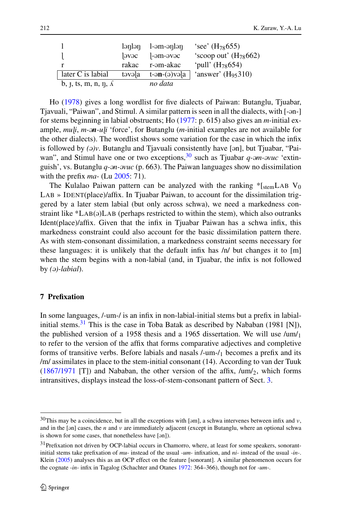<span id="page-15-0"></span>

|                                                          | lənlən | l-əm-ənlən                          | 'see' $(H_{78}655)$       |
|----------------------------------------------------------|--------|-------------------------------------|---------------------------|
|                                                          | ovoc   | $]-\partial m-\partial v\partial c$ | 'scoop out' $(H_{78}662)$ |
|                                                          | rakac  | r-əm-akac                           | 'pull' $(H_{78}654)$      |
| later C is labial                                        | təvəla | $t$ -ən- $(a)$ və $ a $             | 'answer' $(H_{95}310)$    |
| b, $\mathfrak{f}$ , ts, m, n, $\mathfrak{g}$ , $\Lambda$ |        | no data                             |                           |

Ho ([1978\)](#page-25-0) gives a long wordlist for five dialects of Paiwan: Butanglu, Tjuabar, Tjavuali, "Paiwan", and Stimul. A similar pattern is seen in all the dialects, with [-n-] for stems beginning in labial obstruents; Ho [\(1977](#page-25-0): p. 615) also gives an *m-*initial example, *mu i*, *m-n-u i* 'force', for Butanglu (*m-*initial examples are not available for the other dialects). The wordlist shows some variation for the case in which the infix is followed by  $(\partial y)$ . Butanglu and Tjavuali consistently have [ $\partial$ n], but Tjuabar, "Paiwan", and Stimul have one or two exceptions,<sup>30</sup> such as Tjuabar *q*-*om*-*ovuc* 'extinguish', vs. Butanglu *q-n-vuc* (p. 663). The Paiwan languages show no dissimilation with the prefix *ma-* (Lu [2005](#page-25-0): 71).

The Kulalao Paiwan pattern can be analyzed with the ranking  $*$ [stemLAB V<sub>0</sub> LAB » IDENT(place)/affix. In Tjuabar Paiwan, to account for the dissimilation triggered by a later stem labial (but only across schwa), we need a markedness constraint like  $*LAB(4)LAB$  (perhaps restricted to within the stem), which also outranks Ident(place)/affix. Given that the infix in Tjuabar Paiwan has a schwa infix, this markedness constraint could also account for the basic dissimilation pattern there. As with stem-consonant dissimilation, a markedness constraint seems necessary for these languages: it is unlikely that the default infix has /n/ but changes it to [m] when the stem begins with a non-labial (and, in Tjuabar, the infix is not followed by *()-labial*).

### **7 Prefixation**

In some languages, /-um-/ is an infix in non-labial-initial stems but a prefix in labialinitial stems. $31$  This is the case in Toba Batak as described by Nababan (1981 [N]), the published version of a 1958 thesis and a 1965 dissertation. We will use  $\mu$ m/<sub>1</sub> to refer to the version of the affix that forms comparative adjectives and completive forms of transitive verbs. Before labials and nasals /-um-/1 becomes a prefix and its /m/ assimilates in place to the stem-initial consonant (14). According to van der Tuuk [\(1867/1971](#page-26-0) [T]) and Nababan, the other version of the affix,  $\mu$ m/<sub>2</sub>, which forms intransitives, displays instead the loss-of-stem-consonant pattern of Sect. [3](#page-3-0).

 $30$ This may be a coincidence, but in all the exceptions with [am], a schwa intervenes between infix and *ν*, and in the [n] cases, the *n* and *ν* are immediately adjacent (except in Butanglu, where an optional schwa is shown for some cases, that nonetheless have [an]).

<sup>&</sup>lt;sup>31</sup>Prefixation not driven by OCP-labial occurs in Chamorro, where, at least for some speakers, sonorantinitial stems take prefixation of *mu-* instead of the usual *-um-* infixation, and *ni-* instead of the usual *-in-*. Klein ([2005](#page-25-0)) analyses this as an OCP effect on the feature [sonorant]. A similar phenomenon occurs for the cognate *-in-* infix in Tagalog (Schachter and Otanes [1972:](#page-26-0) 364–366), though not for *-um-*.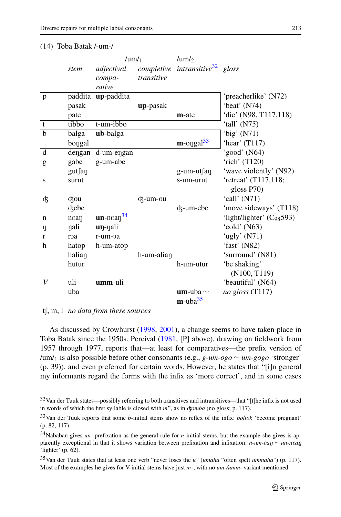|                |                   | /um/ $_1$               |                      | /um/ $\gamma$                               |                               |
|----------------|-------------------|-------------------------|----------------------|---------------------------------------------|-------------------------------|
|                | stem              | adjectival              |                      | completive intransitive <sup>32</sup> gloss |                               |
|                |                   | compa-                  | transitive           |                                             |                               |
|                |                   | rative                  |                      |                                             |                               |
| p              |                   | paddita up-paddita      |                      |                                             | 'preacherlike' (N72)          |
|                | pasak             |                         | up-pasak             |                                             | 'beat' (N74)                  |
|                | pate              |                         |                      | m-ate                                       | 'die' (N98, T117,118)         |
| $\mathbf{t}$   | tibbo             | t-um-ibbo               |                      |                                             | 'tall' $(N75)$                |
| $\overline{b}$ | balga             | ub-balga                |                      |                                             | 'big' $(N71)$                 |
|                | bongal            |                         |                      | $m$ -orgal $33$                             | 'hear' $(T117)$               |
| d              | dengan            | d-um-engan              |                      |                                             | 'good' (N64)                  |
| g              | gabe              | g-um-abe                |                      |                                             | 'rich' (T120)                 |
|                | gutfan            |                         |                      | g-um-ut∫aŋ                                  | 'wave violently' (N92)        |
| S              | surut             |                         |                      | s-um-urut                                   | 'retreat' (T117,118;          |
|                |                   |                         |                      |                                             | gloss P70)                    |
| ф              | cou               |                         | <sub>ok</sub> -um-ou |                                             | 'call' (N71)                  |
|                | ckebe             |                         |                      | d <sub>z</sub> -um-ebe                      | 'move sideways' (T118)        |
| $\mathsf{n}$   | $n\epsilon a\eta$ | $un-n\epsilon a n^{34}$ |                      |                                             | 'light/lighter' $(C_{98}593)$ |
| ŋ              | nali              | <b>un-</b> nali         |                      |                                             | 'cold' (N63)                  |
| $\mathbf{r}$   | roa               | r-um-oa                 |                      |                                             | 'ugly' $(N71)$                |
| h              | hatop             | h-um-atop               |                      |                                             | 'fast' (N82)                  |
|                | halian            |                         | h-um-alian           |                                             | 'surround' (N81)              |
|                | hutur             |                         |                      | h-um-utur                                   | 'be shaking'                  |
|                |                   |                         |                      |                                             | (N100, T119)                  |
| V              | uli               | umm-uli                 |                      |                                             | 'beautiful' (N64)             |
|                | uba               |                         |                      | <b>um</b> -uba $\sim$                       | no gloss $(T117)$             |
|                |                   |                         |                      | $m$ -uba $35$                               |                               |

#### (14) Toba Batak /-um-/

t, m, l *no data from these sources*

As discussed by Crowhurst [\(1998,](#page-24-0) [2001](#page-24-0)), a change seems to have taken place in Toba Batak since the 1950s. Percival ([1981,](#page-26-0) [P] above), drawing on fieldwork from 1957 through 1977, reports that—at least for comparatives—the prefix version of /um/1 is also possible before other consonants (e.g., *g-um-ogo* ∼ *um-gogo* 'stronger' (p. 39)), and even preferred for certain words. However, he states that "[i]n general my informants regard the forms with the infix as 'more correct', and in some cases

<sup>32</sup>Van der Tuuk states—possibly referring to both transitives and intransitives—that "[t]he infix is not used in words of which the first syllable is closed with *m*", as in *domba* (no gloss; p. 117).

<sup>33</sup>Van der Tuuk reports that some *b*-initial stems show no reflex of the infix: *boltok* 'become pregnant' (p. 82, 117).

<sup>34</sup>Nababan gives *un-* prefixation as the general rule for *n*-initial stems, but the example she gives is apparently exceptional in that it shows variation between prefixation and infixation: *n-um-can* ∼ *un-ncan* 'lighter' (p. 62).

<sup>35</sup>Van der Tuuk states that at least one verb "never loses the *u*" (*umaha* "often spelt *ummaha*") (p. 117). Most of the examples he gives for V-initial stems have just *m*-, with no *um-/umm-* variant mentioned.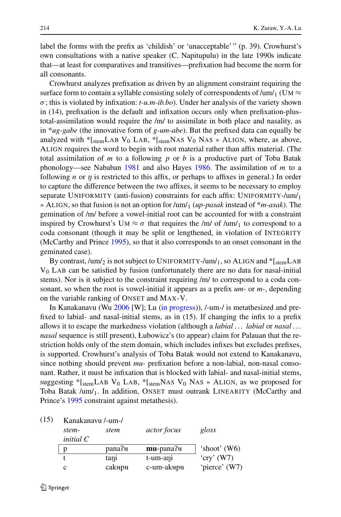label the forms with the prefix as 'childish' or 'unacceptable' " (p. 39). Crowhurst's own consultations with a native speaker (C. Napitupulu) in the late 1990s indicate that—at least for comparatives and transitives—prefixation had become the norm for all consonants.

Crowhurst analyzes prefixation as driven by an alignment constraint requiring the surface form to contain a syllable consisting solely of correspondents of  $/\text{um}/1$  (UM  $\approx$ *σ* ; this is violated by infixation: *t-u.m-ib.bo*). Under her analysis of the variety shown in (14), prefixation is the default and infixation occurs only when prefixation-plustotal-assimilation would require the /m/ to assimilate in both place and nasality, as in \**ug-gabe* (the innovative form of *g-um-abe*). But the prefixed data can equally be analyzed with  $*$ [stemLAB V<sub>0</sub> LAB,  $*$ [stemNAS V<sub>0</sub> NAS » ALIGN, where, as above, ALIGN requires the word to begin with root material rather than affix material. (The total assimilation of *m* to a following *p* or *b* is a productive part of Toba Batak phonology—see Nababan [1981](#page-26-0) and also Hayes [1986.](#page-25-0) The assimilation of *m* to a following *n* or  $\eta$  is restricted to this affix, or perhaps to affixes in general.) In order to capture the difference between the two affixes, it seems to be necessary to employ separate UNIFORMITY (anti-fusion) constraints for each affix: UNIFORMITY-/um/1 » ALIGN, so that fusion is not an option for /um/1 (*up-pasak* instead of \**m-asak*). The gemination of /m/ before a vowel-initial root can be accounted for with a constraint inspired by Crowhurst's UM  $\approx \sigma$  that requires the /m/ of /um/<sub>1</sub> to correspond to a coda consonant (though it may be split or lengthened, in violation of INTEGRITY (McCarthy and Prince [1995\)](#page-25-0), so that it also corresponds to an onset consonant in the geminated case).

By contrast,  $\frac{\text{mm}}{2}$  is not subject to UNIFORMITY-/um/<sub>1</sub>, so ALIGN and  $\frac{1}{\text{stem}}$ LAB  $V_0$  LAB can be satisfied by fusion (unfortunately there are no data for nasal-initial stems). Nor is it subject to the constraint requiring /m/ to correspond to a coda consonant, so when the root is vowel-initial it appears as a prefix *um-* or *m-*, depending on the variable ranking of ONSET and MAX-V.

In Kanakanavu (Wu [2006](#page-27-0) [W]; Lu [\(in progress](#page-25-0))), /-um-/ is metathesized and prefixed to labial- and nasal-initial stems, as in (15). If changing the infix to a prefix allows it to escape the markedness violation (although a *labial . . . labial* or *nasal . . . nasal* sequence is still present), Łubowicz's (to appear) claim for Palauan that the restriction holds only of the stem domain, which includes infixes but excludes prefixes, is supported. Crowhurst's analysis of Toba Batak would not extend to Kanakanavu, since nothing should prevent *mu-* prefixation before a non-labial, non-nasal consonant. Rather, it must be infixation that is blocked with labial- and nasal-initial stems, suggesting  $*$ [stemLAB V<sub>0</sub> LAB,  $*$ [stemNAS V<sub>0</sub> NAS » ALIGN, as we proposed for Toba Batak /um/1. In addition, ONSET must outrank LINEARITY (McCarthy and Prince's [1995](#page-25-0) constraint against metathesis).

(15) Kanakanavu /-um-/

| stem-<br>initial C | stem   | <i>actor focus</i> | gloss          |
|--------------------|--------|--------------------|----------------|
|                    | pana?+ | $mu$ -pana? $\mu$  | 'shoot' $(W6)$ |
|                    | tani   | t-um-ani           | 'cry' $(W7)$   |
|                    | cakupu | c-um-akupu         | 'pierce' (W7)  |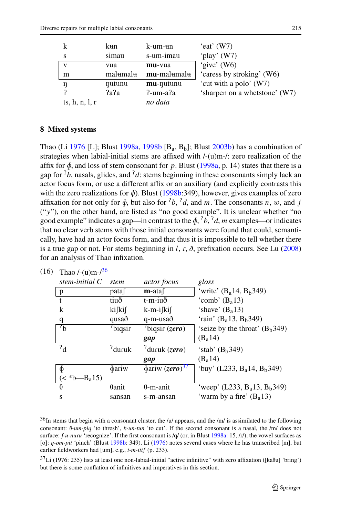<span id="page-18-0"></span>

|                  | kun      | k-um- <del>u</del> n | 'eat' $(W7)$                  |
|------------------|----------|----------------------|-------------------------------|
|                  | simau    | s-um-imau            | 'play' $(W7)$                 |
| $\mathbf{v}$     | vua      | mu-vua               | 'give' (W6)                   |
| m                | malumalu | mu-malumalu          | 'caress by stroking' (W6)     |
|                  | nutunu   | $mu$ - $\eta$ utunu  | 'cut with a polo' (W7)        |
|                  | 2a       | $2$ -um-a $2a$       | 'sharpen on a whetstone' (W7) |
| ts, h, n, l, $r$ |          | no data              |                               |

### **8 Mixed systems**

Thao (Li [1976](#page-25-0) [L]; Blust [1998a,](#page-24-0) [1998b](#page-24-0)  $[B_a, B_b]$ ; Blust [2003b\)](#page-24-0) has a combination of strategies when labial-initial stems are affixed with  $/-(u)$ m- $/$ : zero realization of the affix for  $\phi$ , and loss of stem consonant for p. Blust [\(1998a](#page-24-0), p. 14) states that there is a gap for  ${}^{7}b$ , nasals, glides, and  ${}^{7}d$ : stems beginning in these consonants simply lack an actor focus form, or use a different affix or an auxiliary (and explicitly contrasts this with the zero realizations for  $\phi$ ). Blust [\(1998b:](#page-24-0)349), however, gives examples of zero affixation for not only for  $\phi$ , but also for  $\partial^2 b$ ,  $\partial^2 d$ , and *m*. The consonants *n*, *w*, and *j* ("*y*"), on the other hand, are listed as "no good example". It is unclear whether "no good example" indicates a gap—in contrast to the  $\phi$ ,  $\partial^2 b$ ,  $\partial^2 d$ , *m* examples—or indicates that no clear verb stems with those initial consonants were found that could, semantically, have had an actor focus form, and that thus it is impossible to tell whether there is a true gap or not. For stems beginning in  $l$ ,  $r$ ,  $\delta$ , prefixation occurs. See Lu [\(2008](#page-25-0)) for an analysis of Thao infixation.

| (16) | Thao $/-(u)m-1/36$               |                     |                                 |                                                     |
|------|----------------------------------|---------------------|---------------------------------|-----------------------------------------------------|
|      | stem-initial C                   | stem                | <i>actor focus</i>              | gloss                                               |
|      | p                                | pata                | $m$ -ataf                       | 'write' $(B_a14, B_b349)$                           |
|      | $\mathbf{f}$                     | tiuð                | t-m-iuð                         | 'comb' $(B_a13)$                                    |
|      | k                                | kifkif              | k-m-ifkif                       | 'shave' $(Ba13)$                                    |
|      | q                                | qusað               | q-m-usað                        | 'rain' (B <sub>a</sub> 13, B <sub>b</sub> 349)      |
|      | $\mathbf{A}^{\prime}$            | <sup>7</sup> biqsir | $\mu$ biqsir (zero)             | 'seize by the throat' $(B_h349)$                    |
|      |                                  |                     | gap                             | $(B_a 14)$                                          |
|      | $^{2}d$                          | $^{2}$ duruk        | $^{7}$ duruk (zero)             | 'stab' $(B_h349)$                                   |
|      |                                  |                     | gap                             | $(B_a 14)$                                          |
|      | Φ                                | φariw               | $\phi$ ariw (zero) <sup>3</sup> | 'buy' (L233, B <sub>a</sub> 14, B <sub>b</sub> 349) |
|      | $\left($ < *b—B <sub>a</sub> 15) |                     |                                 |                                                     |
|      | $\theta$                         | $\theta$ anit       | $\theta$ -m-anit                | 'weep' (L233, $B_a$ 13, $B_b$ 349)                  |
|      | S                                | sansan              | s-m-ansan                       | 'warm by a fire' $(B_a 13)$                         |
|      |                                  |                     |                                 |                                                     |

<sup>36</sup>In stems that begin with a consonant cluster, the /u/ appears, and the /m/ is assimilated to the following consonant:  $\theta$ -um-piq 'to thresh', *k*-un-tun 'to cut'. If the second consonant is a nasal, the /m/ does not surface:  $f-u-nuru'$  'recognize'. If the first consonant is /q/ (or, in Blust [1998a:](#page-24-0) 15, /r/), the vowel surfaces as [o]: *q-om-pit* 'pinch' (Blust [1998b](#page-24-0): 349). Li [\(1976](#page-25-0)) notes several cases where he has transcribed [m], but earlier fieldworkers had [um], e.g., *t-m-itif* (p. 233).

 $37Li$  (1976: 235) lists at least one non-labial-initial "active infinitive" with zero affixation ([ka $\theta$ u] 'bring') but there is some conflation of infinitives and imperatives in this section.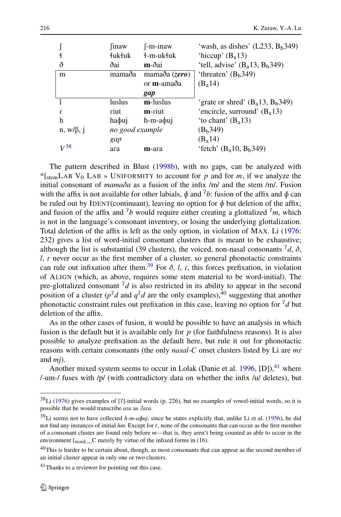|                 | <i>inaw</i>     | $[-m-inaw]$          | 'wash, as dishes' $(L233, Bb349)$               |
|-----------------|-----------------|----------------------|-------------------------------------------------|
|                 | łukłuk          | ∤-m-ukłuk            | 'hiccup' $(B_a 13)$                             |
| ð               | ðai             | m-ðai                | 'tell, advise' $(B_a13, B_b349)$                |
| m               | mamaða          | mamaða (zero)        | 'threaten' $(Bb349)$                            |
|                 |                 | or <b>m</b> -amaða   | $(B_a 14)$                                      |
|                 |                 | gap                  |                                                 |
|                 | luslus          | m-luslus             | 'grate or shred' $(B_a13, B_b349)$              |
| $\mathbf{r}$    | riut            | m-riut               | 'encircle, surround' $(B_a 13)$                 |
| h               | haφuj           | h-m-a <sub>bui</sub> | 'to chant' $(B_a13)$                            |
| $n, w/\beta, i$ | no good example |                      | (B <sub>b</sub> 349)                            |
|                 | gap             |                      | $(B_a 14)$                                      |
| $V^{38}$        | ara             | m-ara                | 'fetch' (B <sub>a</sub> 10, B <sub>b</sub> 349) |

The pattern described in Blust [\(1998b](#page-24-0)), with no gaps, can be analyzed with \*[ $_{\text{stem}}$ LAB V<sub>0</sub> LAB » UNIFORMITY to account for p and for m, if we analyze the initial consonant of *mamaða* as a fusion of the infix /m/ and the stem /m/. Fusion with the affix is not available for other labials,  $\phi$  and <sup>2</sup>b: fusion of the affix and  $\phi$  can be ruled out by IDENT(continuant), leaving no option for  $\phi$  but deletion of the affix; and fusion of the affix and  $\frac{1}{b}$  would require either creating a glottalized  $\frac{1}{m}$ , which is not in the language's consonant inventory, or losing the underlying glottalization. Total deletion of the affix is left as the only option, in violation of MAX. Li ([1976:](#page-25-0) 232) gives a list of word-initial consonant clusters that is meant to be exhaustive; although the list is substantial (39 clusters), the voiced, non-nasal consonants  $d$ ,  $\delta$ ,  $l$ ,  $r$  never occur as the first member of a cluster, so general phonotactic constraints can rule out infixation after them.<sup>39</sup> For  $\delta$ , *l*, *r*, this forces prefixation, in violation of ALIGN (which, as above, requires some stem material to be word-initial). The pre-glottalized consonant  $d$  is also restricted in its ability to appear in the second position of a cluster ( $p^2d$  and  $q^2d$  are the only examples),  $40$  suggesting that another phonotactic constraint rules out prefixation in this case, leaving no option for  $\frac{7}{d}$  but deletion of the affix.

As in the other cases of fusion, it would be possible to have an analysis in which fusion is the default but it is available only for  $p$  (for faithfulness reasons). It is also possible to analyze prefixation as the default here, but rule it out for phonotactic reasons with certain consonants (the only *nasal-C* onset clusters listed by Li are *m* and *mj*).

Another mixed system seems to occur in Lolak (Danie et al. [1996](#page-24-0), [D]), $^{41}$  where /-um-/ fuses with /p/ (with contradictory data on whether the infix /u/ deletes), but

 $38$ Li [\(1976](#page-25-0)) gives examples of [?]-initial words (p. 226), but no examples of vowel-initial words, so it is possible that he would transcribe ara as  $2$ ara.

<sup>39</sup>Li seems not to have collected *h-m-a uj*, since he states explicitly that, unlike Li et al. [\(1956](#page-25-0)), he did not find any instances of initial *hm*. Except for *t*, none of the consonants that can occur as the first member of a consonant cluster are found only before *m*—that is, they aren't being counted as able to occur in the environment  $\lbrack_{word}$  C merely by virtue of the infixed forms in (16).

<sup>&</sup>lt;sup>40</sup>This is harder to be certain about, though, as most consonants that can appear as the second member of an initial cluster appear in only one or two clusters.

 $^{41}$ Thanks to a reviewer for pointing out this case.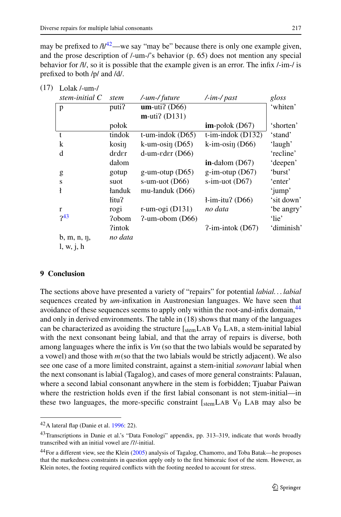may be prefixed to  $\frac{A}{42}$ —we say "may be" because there is only one example given, and the prose description of /-um-/'s behavior (p. 65) does not mention any special behavior for  $\frac{A}{I}$ , so it is possible that the example given is an error. The infix /-im-/ is prefixed to both /p/ and /d/.

| $L_{\text{UMR}}$ , and $l$ |               |                              |                                               |            |
|----------------------------|---------------|------------------------------|-----------------------------------------------|------------|
| stem-initial C             | stem          | /-um-/ future                | $\frac{1}{\text{Im}}$ / past                  | gloss      |
| p                          | puti?         | $um$ -uti? (D66)             |                                               | 'whiten'   |
|                            |               | $m$ -uti? (D131)             |                                               |            |
|                            | połok         |                              | $im$ -połok (D67)                             | 'shorten'  |
| t                          | tindok        | $t$ -um-indok (D65)          | $\overline{t\text{-}im\text{-}}$ indok (D132) | 'stand'    |
| k                          | kosin         | $k$ -um-osin (D65)           | $k\text{-}im\text{-}osin(D66)$                | 'laugh'    |
| d                          | deder         | $d$ -um- $\text{eder}$ (D66) |                                               | 'recline'  |
|                            | dałom         |                              | $in$ -dałom (D67)                             | 'deepen'   |
| g                          | gotup         | g-um-otup $(D65)$            | $g\text{-}im\text{-}otup$ (D67)               | 'burst'    |
| S                          | suot          | s-um-uot $(D66)$             | $s$ -im-uot (D67)                             | 'enter'    |
| ł                          | łanduk        | mu-łanduk (D66)              |                                               | 'jump'     |
|                            | litu?         |                              | $l$ -im-itu? (D66)                            | 'sit down' |
| r                          | rogi          | r-um-ogi $(D131)$            | no data                                       | 'be angry' |
| $7^{43}$                   | ?obom         | $2$ -um-obom (D66)           |                                               | 'lie'      |
|                            | <i>Pintok</i> |                              | $?$ -im-intok (D67)                           | 'diminish' |
| $b, m, n, \eta,$           | no data       |                              |                                               |            |
| l, w, j, h                 |               |                              |                                               |            |
|                            |               |                              |                                               |            |

 $(17)$  Lolak /-um-/

# **9 Conclusion**

The sections above have presented a variety of "repairs" for potential *labial. . . labial* sequences created by *um*-infixation in Austronesian languages. We have seen that avoidance of these sequences seems to apply only within the root-and-infix domain,<sup>44</sup> and only in derived environments. The table in (18) shows that many of the languages can be characterized as avoiding the structure  $\frac{1}{\text{stem}}$  LAB V<sub>0</sub> LAB, a stem-initial labial with the next consonant being labial, and that the array of repairs is diverse, both among languages where the infix is *Vm* (so that the two labials would be separated by a vowel) and those with  $m(s_0)$  that the two labials would be strictly adjacent). We also see one case of a more limited constraint, against a stem-initial *sonorant* labial when the next consonant is labial (Tagalog), and cases of more general constraints: Palauan, where a second labial consonant anywhere in the stem is forbidden; Tjuabar Paiwan where the restriction holds even if the first labial consonant is not stem-initial—in these two languages, the more-specific constraint  $\left[$ <sub>stem</sub>LAB  $V_0$  LAB may also be

<sup>42</sup>A lateral flap (Danie et al. [1996:](#page-24-0) 22).

<sup>&</sup>lt;sup>43</sup>Transcriptions in Danie et al.'s "Data Fonologi" appendix, pp. 313-319, indicate that words broadly transcribed with an initial vowel are /?/-initial.

<sup>&</sup>lt;sup>44</sup>For a different view, see the Klein [\(2005](#page-25-0)) analysis of Tagalog, Chamorro, and Toba Batak—he proposes that the markedness constraints in question apply only to the first bimoraic foot of the stem. However, as Klein notes, the footing required conflicts with the footing needed to account for stress.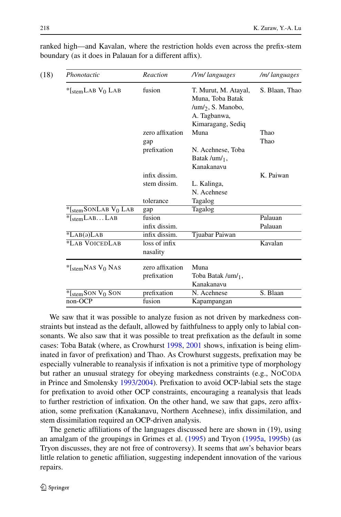| Phonotactic                        | Reaction        | /Vm/languages                                                                                           | /m/ languages  |
|------------------------------------|-----------------|---------------------------------------------------------------------------------------------------------|----------------|
| *[ $stemLAB V_0 LAB$               | fusion          | T. Murut, M. Atayal,<br>Muna, Toba Batak<br>/um/ $_2$ , S. Manobo,<br>A. Tagbanwa,<br>Kimaragang, Sediq | S. Blaan, Thao |
|                                    | zero affixation | Muna                                                                                                    | Thao           |
|                                    | gap             |                                                                                                         | Thao           |
|                                    | prefixation     | N. Acehnese, Toba                                                                                       |                |
|                                    |                 | Batak /um/ $_1$ ,                                                                                       |                |
|                                    |                 | Kanakanavu                                                                                              |                |
|                                    | infix dissim.   |                                                                                                         | K. Paiwan      |
|                                    | stem dissim.    | L. Kalinga,                                                                                             |                |
|                                    |                 | N. Acehnese                                                                                             |                |
|                                    | tolerance       | Tagalog                                                                                                 |                |
| $*$ [stemSONLAB V <sub>0</sub> LAB | gap             | Tagalog                                                                                                 |                |
| $*$ [stemLABLAB                    | fusion          |                                                                                                         | Palauan        |
|                                    | infix dissim.   |                                                                                                         | Palauan        |
| $*LAB(9)LAB$                       | infix dissim.   | Tjuabar Paiwan                                                                                          |                |
| *LAB VOICEDLAB                     | loss of infix   |                                                                                                         | Kavalan        |
|                                    | nasality        |                                                                                                         |                |
| $*$ [stemNAS V <sub>0</sub> NAS    | zero affixation | Muna                                                                                                    |                |
|                                    | prefixation     | Toba Batak /um/ <sub>1</sub> ,                                                                          |                |
|                                    |                 | Kanakanavu                                                                                              |                |
| $*$ [stemSON V <sub>0</sub> SON    | prefixation     | N. Acehnese                                                                                             | S. Blaan       |
| non-OCP                            | fusion          | Kapampangan                                                                                             |                |

ranked high—and Kavalan, where the restriction holds even across the prefix-stem boundary (as it does in Palauan for a different affix).

We saw that it was possible to analyze fusion as not driven by markedness constraints but instead as the default, allowed by faithfulness to apply only to labial consonants. We also saw that it was possible to treat prefixation as the default in some cases: Toba Batak (where, as Crowhurst [1998,](#page-24-0) [2001](#page-24-0) shows, infixation is being eliminated in favor of prefixation) and Thao. As Crowhurst suggests, prefixation may be especially vulnerable to reanalysis if infixation is not a primitive type of morphology but rather an unusual strategy for obeying markedness constraints (e.g., NOCODA in Prince and Smolensky [1993/2004](#page-26-0)). Prefixation to avoid OCP-labial sets the stage for prefixation to avoid other OCP constraints, encouraging a reanalysis that leads to further restriction of infixation. On the other hand, we saw that gaps, zero affixation, some prefixation (Kanakanavu, Northern Acehnese), infix dissimilation, and stem dissimilation required an OCP-driven analysis.

The genetic affiliations of the languages discussed here are shown in (19), using an amalgam of the groupings in Grimes et al. [\(1995\)](#page-25-0) and Tryon ([1995a](#page-26-0), [1995b\)](#page-26-0) (as Tryon discusses, they are not free of controversy). It seems that *um*'s behavior bears little relation to genetic affiliation, suggesting independent innovation of the various repairs.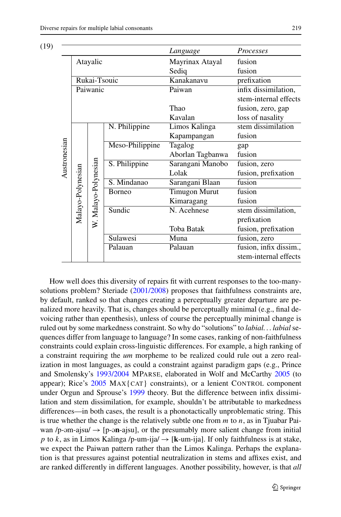| (19) |              |                   |                      |                 | Language             | Processes              |
|------|--------------|-------------------|----------------------|-----------------|----------------------|------------------------|
|      |              |                   | Atayalic             |                 | Mayrinax Atayal      | fusion                 |
|      |              |                   |                      |                 | Sediq                | fusion                 |
|      |              |                   | Rukai-Tsouic         |                 | Kanakanavu           | prefixation            |
|      |              |                   | Paiwanic             |                 | Paiwan               | infix dissimilation,   |
|      |              |                   |                      |                 |                      | stem-internal effects  |
|      |              |                   |                      |                 | Thao                 | fusion, zero, gap      |
|      |              |                   |                      |                 | Kavalan              | loss of nasality       |
|      |              |                   |                      | N. Philippine   | Limos Kalinga        | stem dissimilation     |
|      |              |                   |                      |                 | Kapampangan          | fusion                 |
|      |              |                   |                      | Meso-Philippine | Tagalog              | gap                    |
|      | Austronesian |                   |                      |                 | Aborlan Tagbanwa     | fusion                 |
|      |              |                   | W. Malayo-Polynesian | S. Philippine   | Sarangani Manobo     | fusion, zero           |
|      |              |                   |                      |                 | Lolak                | fusion, prefixation    |
|      |              | Malayo-Polynesian |                      | S. Mindanao     | Sarangani Blaan      | fusion                 |
|      |              |                   |                      | <b>B</b> orneo  | <b>Timugon Murut</b> | fusion                 |
|      |              |                   |                      |                 | Kimaragang           | fusion                 |
|      |              |                   |                      | Sundic          | N. Acehnese          | stem dissimilation,    |
|      |              |                   |                      |                 |                      | prefixation            |
|      |              |                   |                      |                 | Toba Batak           | fusion, prefixation    |
|      |              |                   |                      | Sulawesi        | Muna                 | fusion, zero           |
|      |              |                   |                      | Palauan         | Palauan              | fusion, infix dissim., |
|      |              |                   |                      |                 |                      | stem-internal effects  |

How well does this diversity of repairs fit with current responses to the too-manysolutions problem? Steriade [\(2001/2008](#page-26-0)) proposes that faithfulness constraints are, by default, ranked so that changes creating a perceptually greater departure are penalized more heavily. That is, changes should be perceptually minimal (e.g., final devoicing rather than epenthesis), unless of course the perceptually minimal change is ruled out by some markedness constraint. So why do "solutions" to *labial. . . labial* sequences differ from language to language? In some cases, ranking of non-faithfulness constraints could explain cross-linguistic differences. For example, a high ranking of a constraint requiring the *um* morpheme to be realized could rule out a zero realization in most languages, as could a constraint against paradigm gaps (e.g., Prince and Smolensky's [1993/2004](#page-26-0) MPARSE, elaborated in Wolf and McCarthy [2005](#page-27-0) (to appear); Rice's [2005](#page-26-0) MAX{CAT} constraints), or a lenient CONTROL component under Orgun and Sprouse's [1999](#page-26-0) theory. But the difference between infix dissimilation and stem dissimilation, for example, shouldn't be attributable to markedness differences—in both cases, the result is a phonotactically unproblematic string. This is true whether the change is the relatively subtle one from *m* to *n*, as in Tjuabar Paiwan /p-əm-ajsu/  $\rightarrow$  [p-ən-ajsu], or the presumably more salient change from initial *p* to *k*, as in Limos Kalinga /p-um-ija/  $\rightarrow$  [k-um-ija]. If only faithfulness is at stake, we expect the Paiwan pattern rather than the Limos Kalinga. Perhaps the explanation is that pressures against potential neutralization in stems and affixes exist, and are ranked differently in different languages. Another possibility, however, is that *all*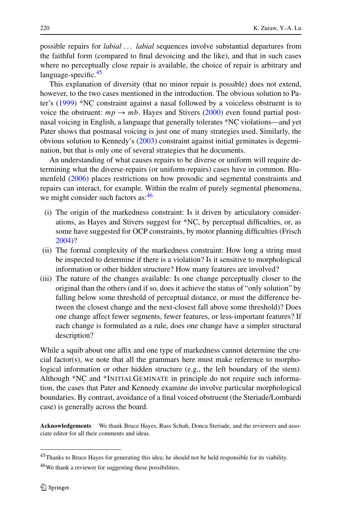possible repairs for *labial . . . labial* sequences involve substantial departures from the faithful form (compared to final devoicing and the like), and that in such cases where no perceptually close repair is available, the choice of repair is arbitrary and language-specific.<sup>45</sup>

This explanation of diversity (that no minor repair is possible) does not extend, however, to the two cases mentioned in the introduction. The obvious solution to Pa-ter's ([1999\)](#page-26-0) \*NC constraint against a nasal followed by a voiceless obstruent is to voice the obstruent:  $mp \rightarrow mb$ . Hayes and Stivers [\(2000](#page-25-0)) even found partial postnasal voicing in English, a language that generally tolerates \*NC violations—and yet Pater shows that postnasal voicing is just one of many strategies used. Similarly, the obvious solution to Kennedy's [\(2003](#page-25-0)) constraint against initial geminates is degemination, but that is only one of several strategies that he documents.

An understanding of what causes repairs to be diverse or uniform will require determining what the diverse-repairs (or uniform-repairs) cases have in common. Blumenfeld [\(2006](#page-24-0)) places restrictions on how prosodic and segmental constraints and repairs can interact, for example. Within the realm of purely segmental phenomena, we might consider such factors as:<sup>46</sup>

- (i) The origin of the markedness constraint: Is it driven by articulatory considerations, as Hayes and Stivers suggest for \*NC , by perceptual difficulties, or, as some have suggested for OCP constraints, by motor planning difficulties (Frisch [2004\)](#page-24-0)?
- (ii) The formal complexity of the markedness constraint: How long a string must be inspected to determine if there is a violation? Is it sensitive to morphological information or other hidden structure? How many features are involved?
- (iii) The nature of the changes available: Is one change perceptually closer to the original than the others (and if so, does it achieve the status of "only solution" by falling below some threshold of perceptual distance, or must the difference between the closest change and the next-closest fall above some threshold)? Does one change affect fewer segments, fewer features, or less-important features? If each change is formulated as a rule, does one change have a simpler structural description?

While a squib about one affix and one type of markedness cannot determine the crucial factor(s), we note that all the grammars here must make reference to morphological information or other hidden structure (e.g., the left boundary of the stem). Although \*NC and \*INITIALGEMINATE in principle do not require such information, the cases that Pater and Kennedy examine do involve particular morphological boundaries. By contrast, avoidance of a final voiced obstruent (the Steriade/Lombardi case) is generally across the board.

**Acknowledgements** We thank Bruce Hayes, Russ Schuh, Donca Steriade, and the reviewers and associate editor for all their comments and ideas.

<sup>45</sup>Thanks to Bruce Hayes for generating this idea; he should not be held responsible for its viability.

 $46$ We thank a reviewer for suggesting these possibilities.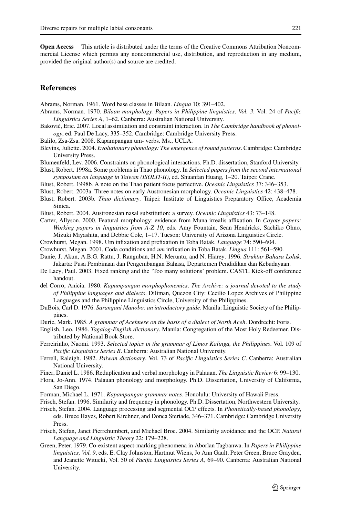<span id="page-24-0"></span>**Open Access** This article is distributed under the terms of the Creative Commons Attribution Noncommercial License which permits any noncommercial use, distribution, and reproduction in any medium, provided the original author(s) and source are credited.

### **References**

Abrams, Norman. 1961. Word base classes in Bilaan. *Lingua* 10: 391–402.

- Abrams, Norman. 1970. *Bilaan morphology. Papers in Philippine linguistics, Vol. 3*. Vol. 24 of *Pacific Linguistics Series A*, 1–62. Canberra: Australian National University.
- Baković, Eric. 2007. Local assimilation and constraint interaction. In *The Cambridge handbook of phonology*, ed. Paul De Lacy, 335–352. Cambridge: Cambridge University Press.
- Balilo, Zsa-Zsa. 2008. Kapampangan um- verbs. Ms., UCLA.
- Blevins, Juliette. 2004. *Evolutionary phonology: The emergence of sound patterns*. Cambridge: Cambridge University Press.
- Blumenfeld, Lev. 2006. Constraints on phonological interactions. Ph.D. dissertation, Stanford University.
- Blust, Robert. 1998a. Some problems in Thao phonology. In *Selected papers from the second international symposium on language in Taiwan (ISOLIT-II)*, ed. Shuanfan Huang, 1–20. Taipei: Crane.
- Blust, Robert. 1998b. A note on the Thao patient focus perfective. *Oceanic Linguistics* 37: 346–353.
- Blust, Robert. 2003a. Three notes on early Austronesian morphology. *Oceanic Linguistics* 42: 438–478.
- Blust, Robert. 2003b. *Thao dictionary*. Taipei: Institute of Linguistics Preparatory Office, Academia Sinica.
- Blust, Robert. 2004. Austronesian nasal substitution: a survey. *Oceanic Linguistics* 43: 73–148.
- Carter, Allyson. 2000. Featural morphology: evidence from Muna irrealis affixation. In *Coyote papers: Working papers in linguistics from A-Z 10*, eds. Amy Fountain, Sean Hendricks, Sachiko Ohno, Mizuki Miyashita, and Debbie Cole, 1–17. Tucson: University of Arizona Linguistics Circle.
- Crowhurst, Megan. 1998. Um infixation and prefixation in Toba Batak. *Language* 74: 590–604.
- Crowhurst, Megan. 2001. Coda conditions and *um* infixation in Toba Batak. *Lingua* 111: 561–590.
- Danie, J. Akun, A.B.G. Rattu, J. Ranguban, H.N. Meruntu, and N. Hiarey. 1996. *Struktur Bahasa Lolak*. Jakarta: Pusa Pembinaan dan Pengembangan Bahasa, Departemen Pendidikan dan Kebudayaan.
- De Lacy, Paul. 2003. Fixed ranking and the 'Too many solutions' problem. CASTL Kick-off conference handout.
- del Corro, Anicia. 1980. *Kapampangan morphophonemics*. *The Archive: a journal devoted to the study of Philippine languages and dialects*. Diliman, Quezon City: Cecilio Lopez Archives of Philippine Languages and the Philippine Linguistics Circle, University of the Philippines.
- DuBois, Carl D. 1976. *Sarangani Manobo: an introductory guide*. Manila: Linguistic Society of the Philippines.
- Durie, Mark. 1985. *A grammar of Acehnese on the basis of a dialect of North Aceh*. Dordrecht: Foris.
- English, Leo. 1986. *Tagalog-English dictionary*. Manila: Congregation of the Most Holy Redeemer. Distributed by National Book Store.
- Ferreirinho, Naomi. 1993. *Selected topics in the grammar of Limos Kalinga, the Philippines*. Vol. 109 of *Pacific Linguistics Series B*. Canberra: Australian National University.
- Ferrell, Raleigh. 1982. *Paiwan dictionary*. Vol. 73 of *Pacific Linguistics Series C*. Canberra: Australian National University.
- Finer, Daniel L. 1986. Reduplication and verbal morphology in Palauan. *The Linguistic Review* 6: 99–130.
- Flora, Jo-Ann. 1974. Palauan phonology and morphology. Ph.D. Dissertation, University of California, San Diego.
- Forman, Michael L. 1971. *Kapampangan grammar notes*. Honolulu: University of Hawaii Press.
- Frisch, Stefan. 1996. Similarity and frequency in phonology. Ph.D. Dissertation, Northwestern University.
- Frisch, Stefan. 2004. Language processing and segmental OCP effects. In *Phonetically-based phonology*, eds. Bruce Hayes, Robert Kirchner, and Donca Steriade, 346–371. Cambridge: Cambridge University Press.
- Frisch, Stefan, Janet Pierrehumbert, and Michael Broe. 2004. Similarity avoidance and the OCP. *Natural Language and Linguistic Theory* 22: 179–228.
- Green, Peter. 1979. Co-existent aspect-marking phenomena in Aborlan Tagbanwa. In *Papers in Philippine linguistics, Vol. 9*, eds. E. Clay Johnston, Hartmut Wiens, Jo Ann Gault, Peter Green, Bruce Grayden, and Jeanette Witucki, Vol. 50 of *Pacific Linguistics Series A*, 69–90. Canberra: Australian National University.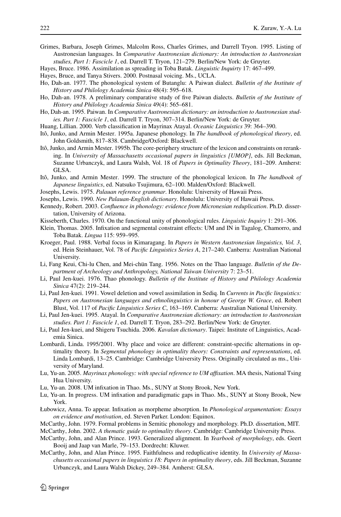- <span id="page-25-0"></span>Grimes, Barbara, Joseph Grimes, Malcolm Ross, Charles Grimes, and Darrell Tryon. 1995. Listing of Austronesian languages. In *Comparative Austronesian dictionary: An introduction to Austronesian studies, Part 1: Fascicle 1*, ed. Darrell T. Tryon, 121–279. Berlin/New York: de Gruyter.
- Hayes, Bruce. 1986. Assimilation as spreading in Toba Batak. *Linguistic Inquirty* 17: 467–499.
- Hayes, Bruce, and Tanya Stivers. 2000. Postnasal voicing. Ms., UCLA.
- Ho, Dah-an. 1977. The phonological system of Butanglu: A Paiwan dialect. *Bulletin of the Institute of History and Philology Academia Sinica* 48(4): 595–618.
- Ho, Dah-an. 1978. A preliminary comparative study of five Paiwan dialects. *Bulletin of the Institute of History and Philology Academia Sinica* 49(4): 565–681.
- Ho, Dah-an. 1995. Paiwan. In *Comparative Austronesian dictionary: an introduction to Austronesian studies. Part 1: Fascicle 1*, ed. Darrell T. Tryon, 307–314. Berlin/New York: de Gruyter.
- Huang, Lillian. 2000. Verb classification in Mayrinax Atayal. *Oceanic Linguistics* 39: 364–390.
- Itô, Junko, and Armin Mester. 1995a. Japanese phonology. In *The handbook of phonological theory*, ed. John Goldsmith, 817–838. Cambridge/Oxford: Blackwell.
- Itô, Junko, and Armin Mester. 1995b. The core-periphery structure of the lexicon and constraints on reranking. In *University of Massachusetts occasional papers in linguistics [UMOP]*, eds. Jill Beckman, Suzanne Urbanczyk, and Laura Walsh, Vol. 18 of *Papers in Optimality Theory*, 181–209. Amherst: GLSA.
- Itô, Junko, and Armin Mester. 1999. The structure of the phonological lexicon. In *The handbook of Japanese linguistics*, ed. Natsuko Tsujimura, 62–100. Malden/Oxford: Blackwell.
- Josephs, Lewis. 1975. *Palauan reference grammar*. Honolulu: University of Hawaii Press.
- Josephs, Lewis. 1990. *New Palauan-English dictionary*. Honolulu: University of Hawaii Press.
- Kennedy, Robert. 2003. *Confluence in phonology: evidence from Micronesian reduplication*. Ph.D. dissertation, University of Arizona.
- Kisseberth, Charles. 1970. On the functional unity of phonological rules. *Linguistic Inquiry* 1: 291–306.
- Klein, Thomas. 2005. Infixation and segmental constraint effects: UM and IN in Tagalog, Chamorro, and Toba Batak. *Lingua* 115: 959–995.
- Kroeger, Paul. 1988. Verbal focus in Kimaragang. In *Papers in Western Austronesian linguistics, Vol. 3*, ed. Hein Steinhauer, Vol. 78 of *Pacific Linguistics Series A*, 217–240. Canberra: Australian National University.
- Li, Fang Keui, Chi-lu Chen, and Mei-chün Tang. 1956. Notes on the Thao language. *Bulletin of the Department of Archeology and Anthropology, National Taiwan University* 7: 23–51.
- Li, Paul Jen-kuei. 1976. Thao phonology. *Bulletin of the Institute of History and Philology Academia Sinica* 47(2): 219–244.
- Li, Paul Jen-kuei. 1991. Vowel deletion and vowel assimilation in Sediq. In *Currents in Pacific linguistics: Papers on Austronesian languages and ethnolinguistics in honour of George W. Grace*, ed. Robert Blust, Vol. 117 of *Pacific Linguistics Series C*, 163–169. Canberra: Australian National University.
- Li, Paul Jen-kuei. 1995. Atayal. In *Comparative Austronesian dictionary: an introduction to Austronesian studies. Part 1: Fascicle 1*, ed. Darrell T. Tryon, 283–292. Berlin/New York: de Gruyter.
- Li, Paul Jen-kuei, and Shigeru Tsuchida. 2006. *Kavalan dictionary*. Taipei: Institute of Linguistics, Academia Sinica.
- Lombardi, Linda. 1995/2001. Why place and voice are different: constraint-specific alternations in optimality theory. In *Segmental phonology in optimality theory: Constraints and representations*, ed. Linda Lombardi, 13–25. Cambridge: Cambridge University Press. Originally circulated as ms., University of Maryland.
- Lu, Yu-an. 2005. *Mayrinax phonology: with special reference to UM affixation*. MA thesis, National Tsing Hua University.
- Lu, Yu-an. 2008. UM infixation in Thao. Ms., SUNY at Stony Brook, New York.
- Lu, Yu-an. In progress. UM infixation and paradigmatic gaps in Thao. Ms., SUNY at Stony Brook, New York.
- Łubowicz, Anna. To appear. Infixation as morpheme absorption. In *Phonological argumentation: Essays on evidence and motivation*, ed. Steven Parker. London: Equinox.
- McCarthy, John. 1979. Formal problems in Semitic phonology and morphology. Ph.D. dissertation, MIT.
- McCarthy, John. 2002. *A thematic guide to optimality theory*. Cambridge: Cambridge University Press.
- McCarthy, John, and Alan Prince. 1993. Generalized alignment. In *Yearbook of morphology*, eds. Geert Booij and Jaap van Marle, 79–153. Dordrecht: Kluwer.
- McCarthy, John, and Alan Prince. 1995. Faithfulness and reduplicative identity. In *University of Massachusetts occasional papers in linguistics 18: Papers in optimality theory*, eds. Jill Beckman, Suzanne Urbanczyk, and Laura Walsh Dickey, 249–384. Amherst: GLSA.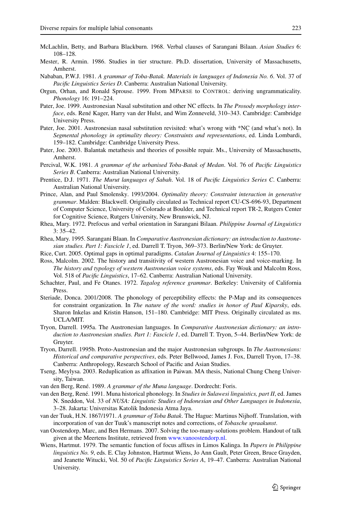- <span id="page-26-0"></span>McLachlin, Betty, and Barbara Blackburn. 1968. Verbal clauses of Sarangani Bilaan. *Asian Studies* 6: 108–128.
- Mester, R. Armin. 1986. Studies in tier structure. Ph.D. dissertation, University of Massachusetts, Amherst.
- Nababan, P.W.J. 1981. *A grammar of Toba-Batak. Materials in languages of Indonesia No. 6*. Vol. 37 of *Pacific Linguistics Series D*. Canberra: Australian National University.
- Orgun, Orhan, and Ronald Sprouse. 1999. From MPARSE to CONTROL: deriving ungrammaticality. *Phonology* 16: 191–224.
- Pater, Joe. 1999. Austronesian Nasal substitution and other NC effects. In *The Prosody morphology interface*, eds. René Kager, Harry van der Hulst, and Wim Zonneveld, 310–343. Cambridge: Cambridge University Press.
- Pater, Joe. 2001. Austronesian nasal substitution revisited: what's wrong with \*NC (and what's not). In *Segmental phonology in optimality theory: Constraints and representations*, ed. Linda Lombardi, 159–182. Cambridge: Cambridge University Press.
- Pater, Joe. 2003. Balantak metathesis and theories of possible repair. Ms., University of Massachusetts, Amherst.
- Percival, W.K. 1981. *A grammar of the urbanised Toba-Batak of Medan*. Vol. 76 of *Pacific Linguistics Series B*. Canberra: Australian National University.
- Prentice, D.J. 1971. *The Murut languages of Sabah*. Vol. 18 of *Pacific Linguistics Series C*. Canberra: Australian National University.
- Prince, Alan, and Paul Smolensky. 1993/2004. *Optimality theory: Constraint interaction in generative grammar*. Malden: Blackwell. Originally circulated as Technical report CU-CS-696-93, Department of Computer Science, University of Colorado at Boulder, and Technical report TR-2, Rutgers Center for Cognitive Science, Rutgers University, New Brunswick, NJ.
- Rhea, Mary. 1972. Prefocus and verbal orientation in Sarangani Bilaan. *Philippine Journal of Linguistics* 3: 35–42.
- Rhea, Mary. 1995. Sarangani Blaan. In *Comparative Austronesian dictionary: an introduction to Austronesian studies. Part 1: Fascicle 1*, ed. Darrell T. Tryon, 369–373. Berlin/New York: de Gruyter.
- Rice, Curt. 2005. Optimal gaps in optimal paradigms. *Catalan Journal of Linguistics* 4: 155–170.
- Ross, Malcolm. 2002. The history and transitivity of western Austronesian voice and voice-marking. In *The history and typology of western Austronesian voice systems*, eds. Fay Wouk and Malcolm Ross, Vol. 518 of *Pacific Linguistics*, 17–62. Canberra: Australian National University.
- Schachter, Paul, and Fe Otanes. 1972. *Tagalog reference grammar*. Berkeley: University of California Press.
- Steriade, Donca. 2001/2008. The phonology of perceptibility effects: the P-Map and its consequences for constraint organization. In *The nature of the word: studies in honor of Paul Kiparsky*, eds. Sharon Inkelas and Kristin Hanson, 151–180. Cambridge: MIT Press. Originally circulated as ms. UCLA/MIT.
- Tryon, Darrell. 1995a. The Austronesian languages. In *Comparative Austronesian dictionary: an introduction to Austronesian studies. Part 1: Fascicle 1*, ed. Darrell T. Tryon, 5–44. Berlin/New York: de Gruyter.
- Tryon, Darrell. 1995b. Proto-Austronesian and the major Austronesian subgroups. In *The Austronesians: Historical and comparative perspectives*, eds. Peter Bellwood, James J. Fox, Darrell Tryon, 17–38. Canberra: Anthropology, Research School of Pacific and Asian Studies.
- Tseng, Meylysa. 2003. Reduplication as affixation in Paiwan. MA thesis, National Chung Cheng University, Taiwan.
- van den Berg, René. 1989. *A grammar of the Muna language*. Dordrecht: Foris.
- van den Berg, René. 1991. Muna historical phonology. In *Studies in Sulawesi linguistics, part II*, ed. James N. Sneddon, Vol. 33 of *NUSA: Linguistic Studies of Indonesian and Other Languages in Indonesia*, 3–28. Jakarta: Universitas Katolik Indonesia Atma Jaya.
- van der Tuuk, H.N. 1867/1971. *A grammar of Toba Batak*. The Hague: Martinus Nijhoff. Translation, with incorporation of van der Tuuk's manuscript notes and corrections, of *Tobasche spraakunst*.
- van Oostendorp, Marc, and Ben Hermans. 2007. Solving the too-many-solutions problem. Handout of talk given at the Meertens Institute, retrieved from [www.vanoostendorp.nl.](http://www.vanoostendorp.nl)
- Wiens, Hartmut. 1979. The semantic function of focus affixes in Limos Kalinga. In *Papers in Philippine linguistics No. 9*, eds. E. Clay Johnston, Hartmut Wiens, Jo Ann Gault, Peter Green, Bruce Grayden, and Jeanette Witucki, Vol. 50 of *Pacific Linguistics Series A*, 19–47. Canberra: Australian National University.